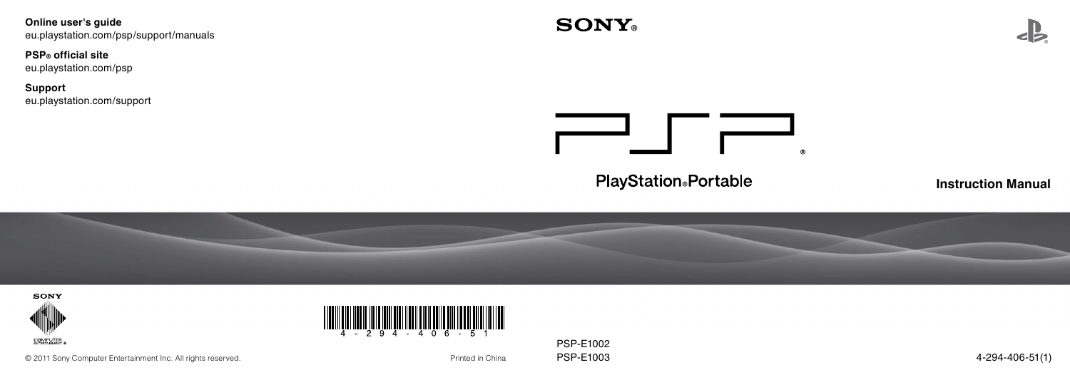**Online user's guide** eu.playstation.com/psp/support/manuals

# **PSP® official site**

eu.playstation.com/psp

**Support** eu.playstation.com/support



**PlayStation**®Portable

**Instruction Manual**







PSP-E1002

© 2011 Sony Computer Entertainment Inc. All rights reserved. entertainment inc. All rights reserved.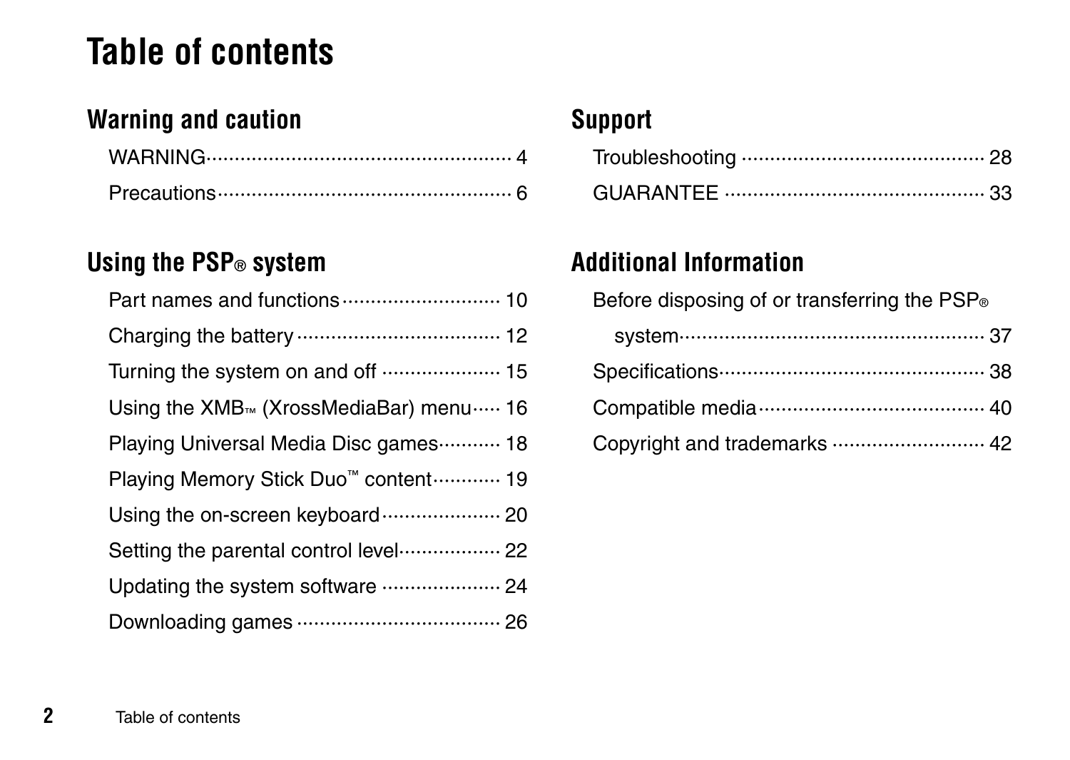# **Table of contents**

# **[Warning and caution](#page-3-0)**

# **[Using the PSP® system](#page-9-0)**

| Part names and functions  10                              |
|-----------------------------------------------------------|
|                                                           |
| Turning the system on and off  15                         |
| Using the $XMB_{\infty}$ (XrossMediaBar) menu $\cdots$ 16 |
| Playing Universal Media Disc games 18                     |
| Playing Memory Stick Duo <sup>™</sup> content………… 19      |
| Using the on-screen keyboard  20                          |
| Setting the parental control level 22                     |
| Updating the system software  24                          |
|                                                           |

# **[Support](#page-27-0)**

# **[Additional Information](#page-36-0)**

| Before disposing of or transferring the PSP <sup>®</sup> |
|----------------------------------------------------------|
|                                                          |
|                                                          |
|                                                          |
| Copyright and trademarks  42                             |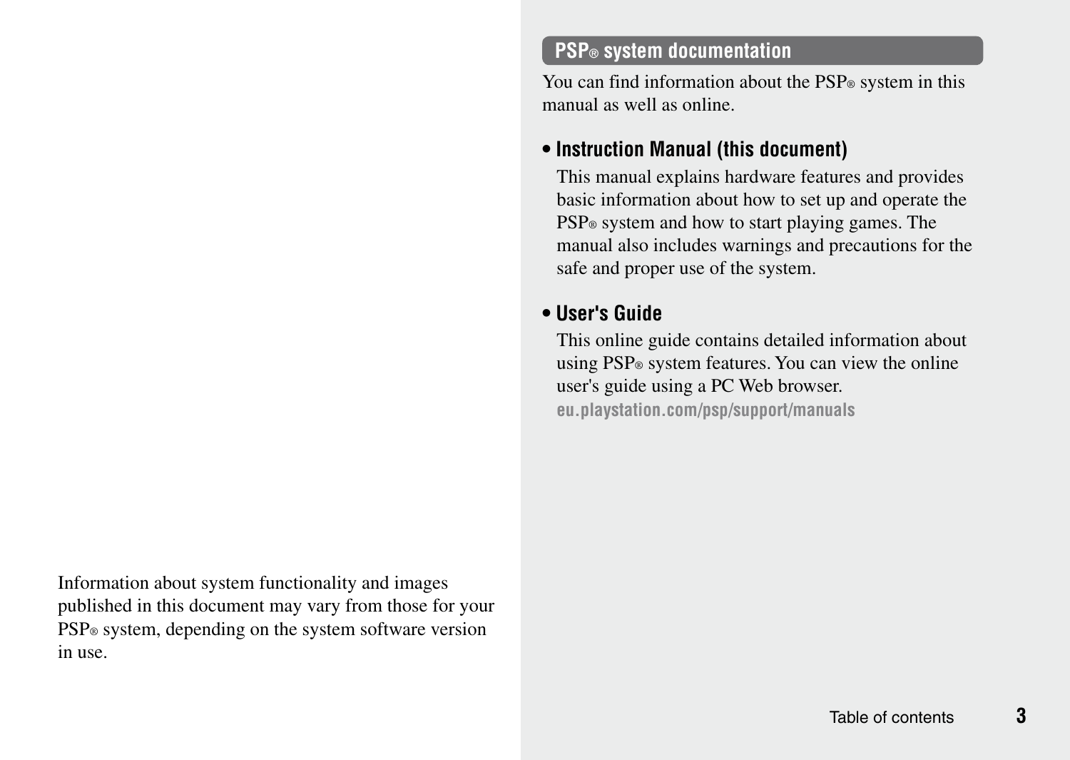Information about system functionality and images published in this document may vary from those for your PSP® system, depending on the system software version in use.

## **PSP® system documentation**

You can find information about the PSP® system in this manual as well as online.

## **• Instruction Manual (this document)**

This manual explains hardware features and provides basic information about how to set up and operate the PSP® system and how to start playing games. The manual also includes warnings and precautions for the safe and proper use of the system.

## **• User's Guide**

This online guide contains detailed information about using PSP® system features. You can view the online user's guide using a PC Web browser. **eu.playstation.com/psp/support/manuals**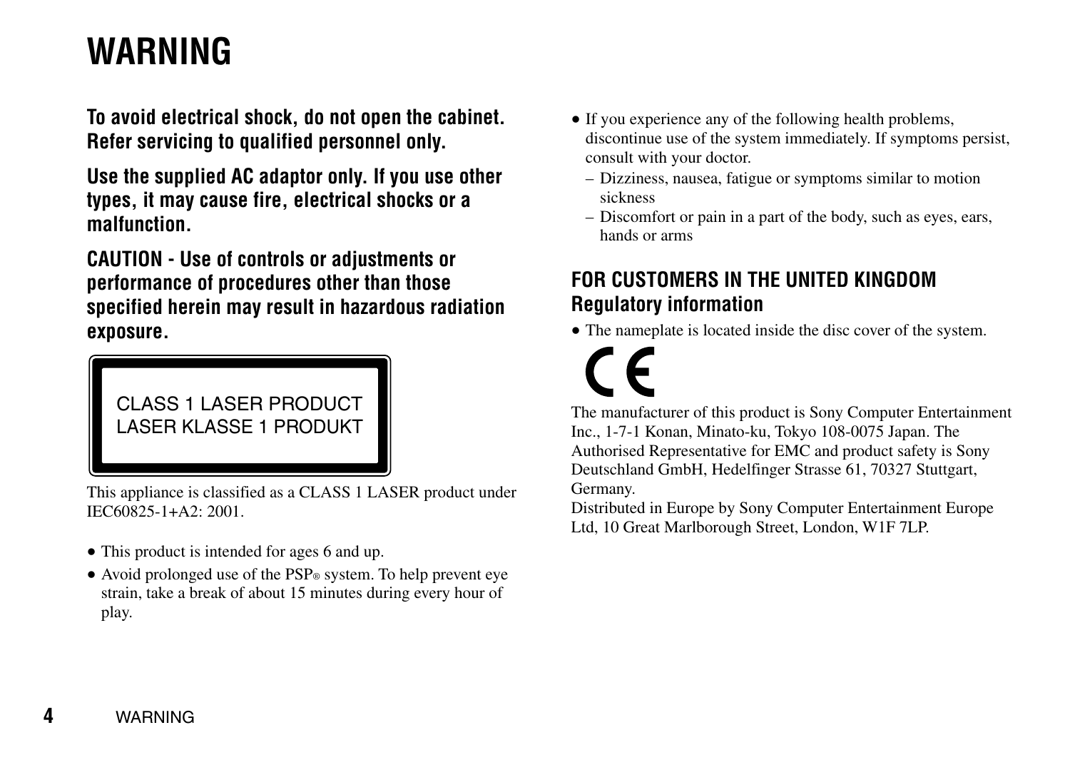# <span id="page-3-0"></span>**WARNING**

**To avoid electrical shock, do not open the cabinet. Refer servicing to qualified personnel only.**

**Use the supplied AC adaptor only. If you use other types, it may cause fire, electrical shocks or a malfunction.**

**CAUTION - Use of controls or adjustments or performance of procedures other than those specified herein may result in hazardous radiation exposure.**

CLASS 1 LASER PRODUCT LASER KLASSE 1 PRODUKT

This appliance is classified as a CLASS 1 LASER product under IEC60825-1+A2: 2001.

- This product is intended for ages 6 and up.
- Avoid prolonged use of the PSP® system. To help prevent eye strain, take a break of about 15 minutes during every hour of play.
- If you experience any of the following health problems, discontinue use of the system immediately. If symptoms persist, consult with your doctor.
	- Dizziness, nausea, fatigue or symptoms similar to motion sickness
	- Discomfort or pain in a part of the body, such as eyes, ears, hands or arms

# **FOR CUSTOMERS IN THE UNITED KINGDOM Regulatory information**

• The nameplate is located inside the disc cover of the system.

The manufacturer of this product is Sony Computer Entertainment Inc., 1-7-1 Konan, Minato-ku, Tokyo 108-0075 Japan. The Authorised Representative for EMC and product safety is Sony Deutschland GmbH, Hedelfinger Strasse 61, 70327 Stuttgart Germany.

Distributed in Europe by Sony Computer Entertainment Europe Ltd, 10 Great Marlborough Street, London, W1F 7LP.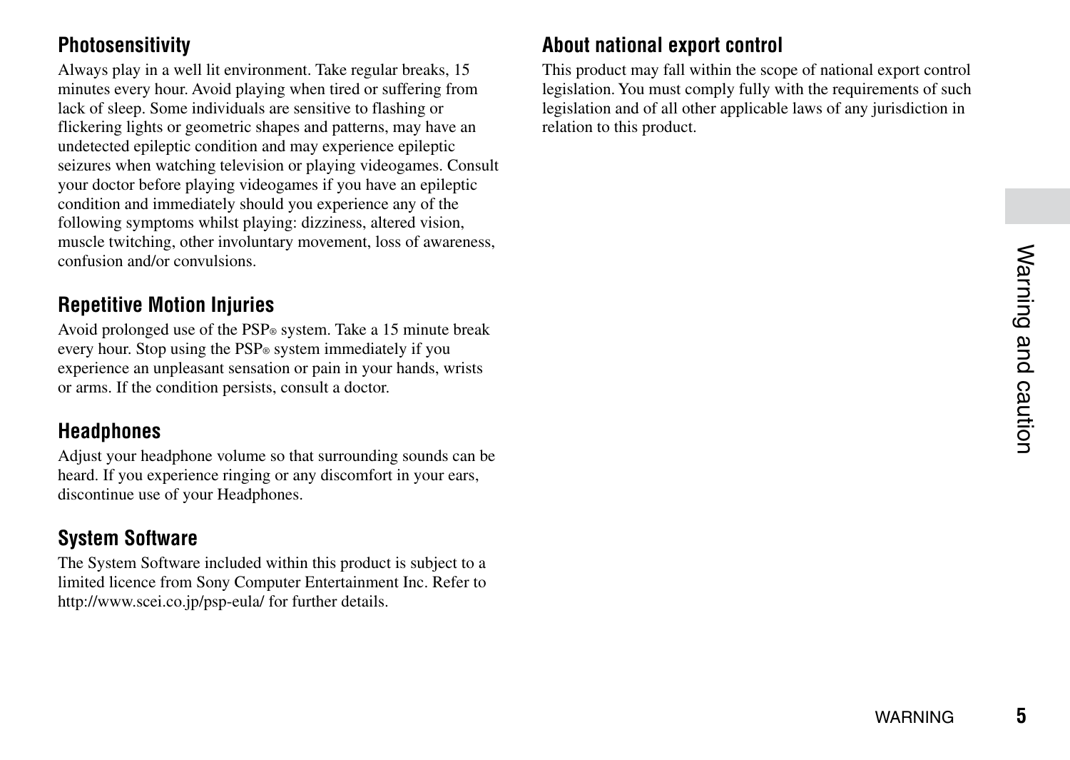## **Photosensitivity**

Always play in a well lit environment. Take regular breaks, 15 minutes every hour. Avoid playing when tired or suffering from lack of sleep. Some individuals are sensitive to flashing or flickering lights or geometric shapes and patterns, may have an undetected epileptic condition and may experience epileptic seizures when watching television or playing videogames. Consult your doctor before playing videogames if you have an epileptic condition and immediately should you experience any of the following symptoms whilst playing: dizziness, altered vision muscle twitching, other involuntary movement, loss of awareness, confusion and/or convulsions.

# **Repetitive Motion Injuries**

Avoid prolonged use of the PSP® system. Take a 15 minute break every hour. Stop using the PSP® system immediately if you experience an unpleasant sensation or pain in your hands, wrists or arms. If the condition persists, consult a doctor.

## **Headphones**

Adjust your headphone volume so that surrounding sounds can be heard. If you experience ringing or any discomfort in your ears. discontinue use of your Headphones.

# **System Software**

The System Software included within this product is subject to a limited licence from Sony Computer Entertainment Inc. Refer to http://www.scei.co.jp/psp-eula/ for further details.

# **About national export control**

This product may fall within the scope of national export control legislation. You must comply fully with the requirements of such legislation and of all other applicable laws of any jurisdiction in relation to this product.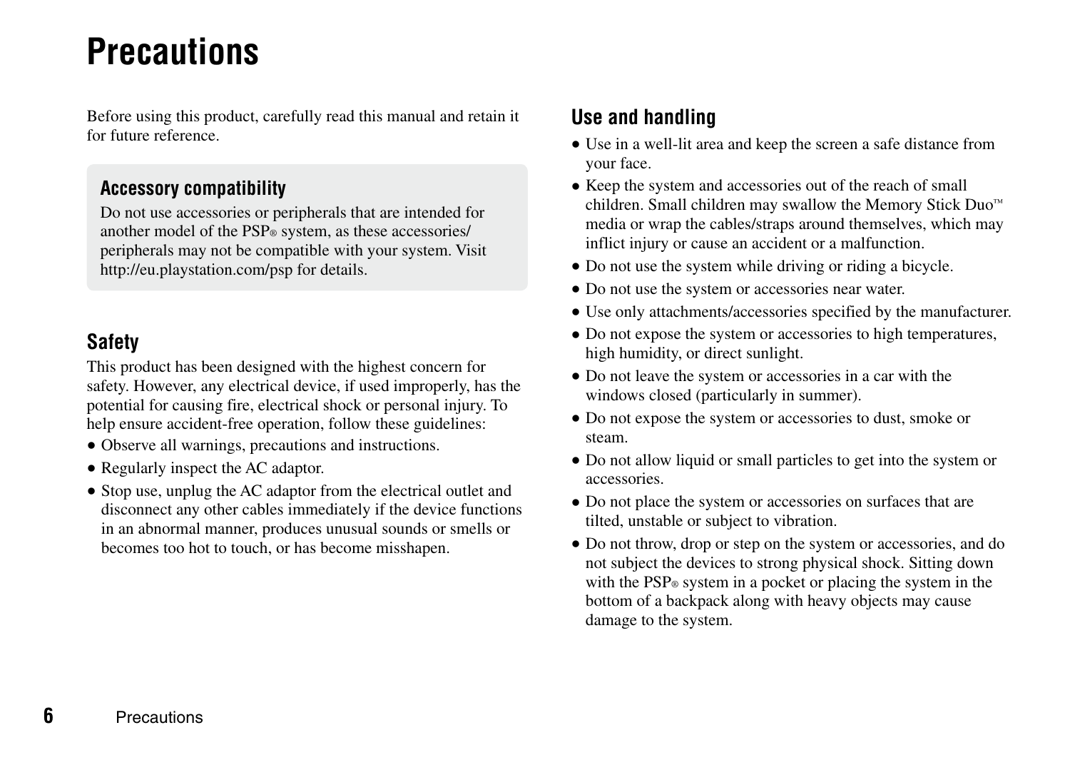# <span id="page-5-0"></span>**Precautions**

Before using this product, carefully read this manual and retain it for future reference.

#### **Accessory compatibility**

Do not use accessories or peripherals that are intended for another model of the PSP® system, as these accessories/ peripherals may not be compatible with your system. Visit http://eu.playstation.com/psp for details.

## **Safety**

This product has been designed with the highest concern for safety. However, any electrical device, if used improperly, has the potential for causing fire, electrical shock or personal injury. To help ensure accident-free operation, follow these guidelines:

- Observe all warnings, precautions and instructions.
- Regularly inspect the AC adaptor.
- Stop use, unplug the AC adaptor from the electrical outlet and disconnect any other cables immediately if the device functions in an abnormal manner, produces unusual sounds or smells or becomes too hot to touch, or has become misshapen.

## **Use and handling**

- Use in a well-lit area and keep the screen a safe distance from your face.
- Keep the system and accessories out of the reach of small children. Small children may swallow the Memory Stick Duo™ media or wrap the cables/straps around themselves, which may inflict injury or cause an accident or a malfunction.
- Do not use the system while driving or riding a bicycle.
- Do not use the system or accessories near water.
- Use only attachments/accessories specified by the manufacturer.
- Do not expose the system or accessories to high temperatures, high humidity, or direct sunlight.
- Do not leave the system or accessories in a car with the windows closed (particularly in summer).
- Do not expose the system or accessories to dust, smoke or steam.
- Do not allow liquid or small particles to get into the system or accessories.
- Do not place the system or accessories on surfaces that are tilted, unstable or subject to vibration.
- Do not throw, drop or step on the system or accessories, and do not subject the devices to strong physical shock. Sitting down with the PSP® system in a pocket or placing the system in the bottom of a backpack along with heavy objects may cause damage to the system.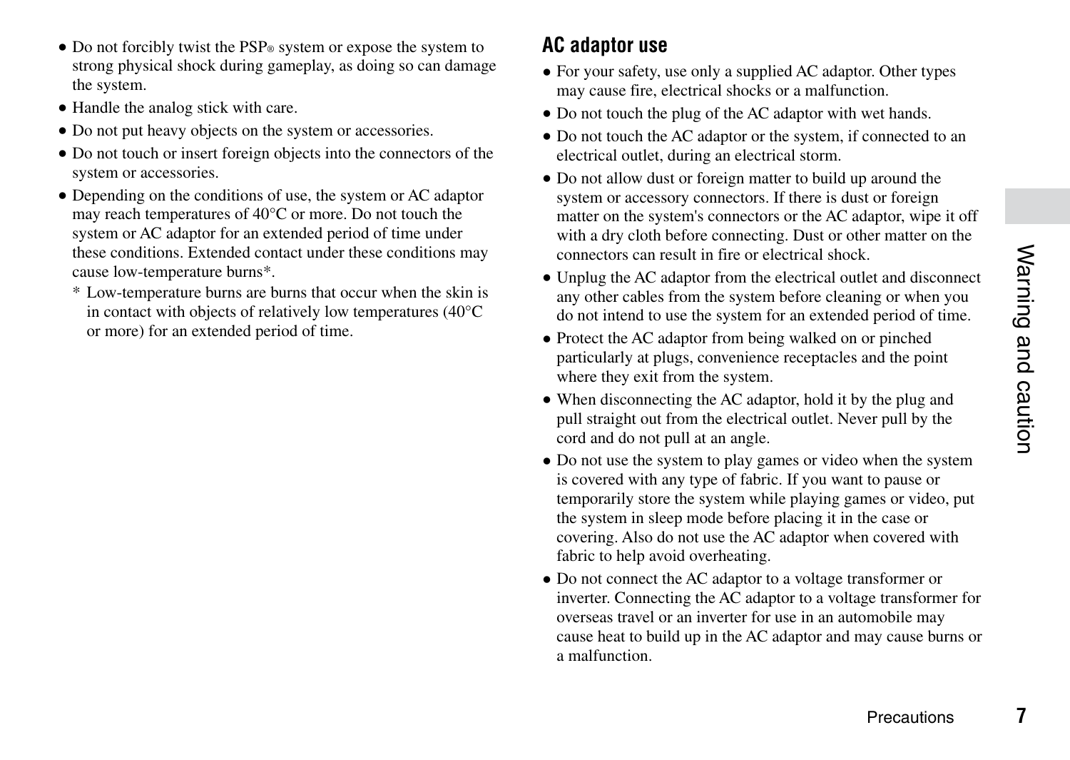7

- Do not forcibly twist the PSP<sup>®</sup> system or expose the system to strong physical shock during gameplay, as doing so can damage the system.
- Handle the analog stick with care.
- Do not put heavy objects on the system or accessories.
- Do not touch or insert foreign objects into the connectors of the system or accessories.
- Depending on the conditions of use, the system or AC adaptor may reach temperatures of 40°C or more. Do not touch the system or AC adaptor for an extended period of time under these conditions. Extended contact under these conditions may cause low-temperature burns\*.
	- \* Low-temperature burns are burns that occur when the skin is in contact with objects of relatively low temperatures (40°C or more) for an extended period of time.

# **AC adaptor use**

- For your safety, use only a supplied AC adaptor. Other types may cause fire, electrical shocks or a malfunction.
- Do not touch the plug of the AC adaptor with wet hands.
- Do not touch the AC adaptor or the system, if connected to an electrical outlet, during an electrical storm.
- Do not allow dust or foreign matter to build up around the system or accessory connectors. If there is dust or foreign matter on the system's connectors or the AC adaptor, wipe it off with a dry cloth before connecting. Dust or other matter on the connectors can result in fire or electrical shock.
- Unplug the AC adaptor from the electrical outlet and disconnect any other cables from the system before cleaning or when you do not intend to use the system for an extended period of time.
- Protect the AC adaptor from being walked on or pinched particularly at plugs, convenience receptacles and the point where they exit from the system.
- When disconnecting the AC adaptor, hold it by the plug and pull straight out from the electrical outlet. Never pull by the cord and do not pull at an angle.
- Do not use the system to play games or video when the system is covered with any type of fabric. If you want to pause or temporarily store the system while playing games or video, put the system in sleep mode before placing it in the case or covering. Also do not use the AC adaptor when covered with fabric to help avoid overheating.
- Do not connect the AC adaptor to a voltage transformer or inverter. Connecting the  $A\overline{C}$  adaptor to a voltage transformer for overseas travel or an inverter for use in an automobile may cause heat to build up in the AC adaptor and may cause burns or a malfunction.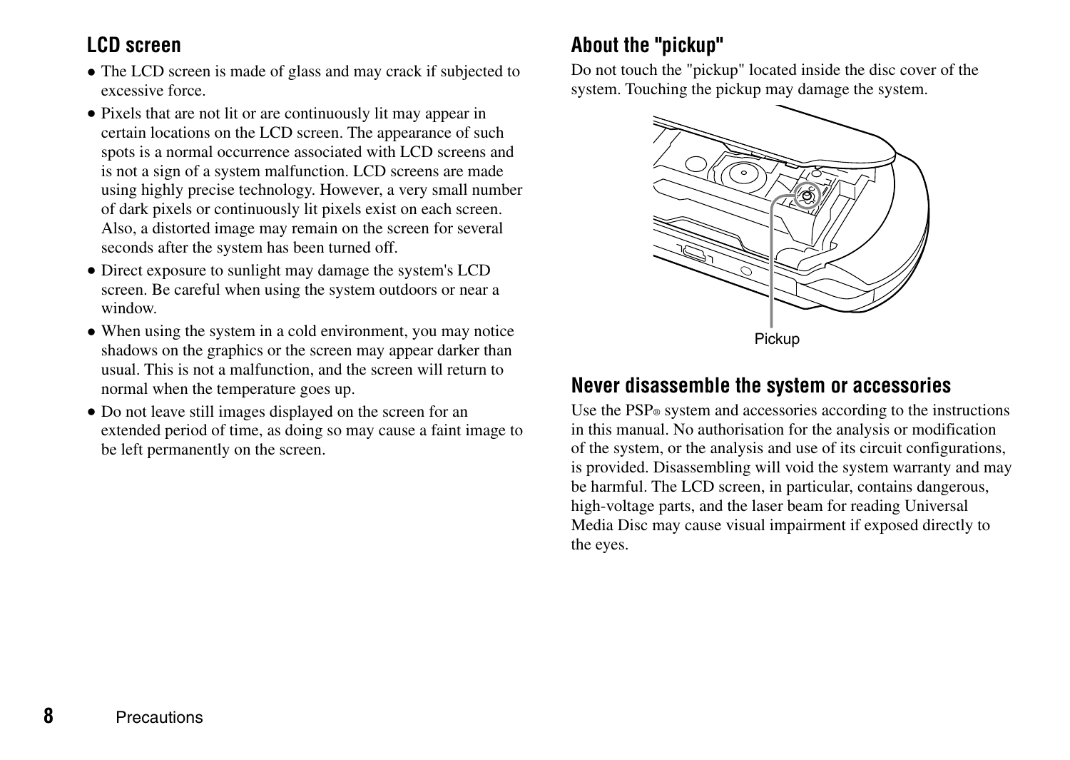# **LCD screen**

- The LCD screen is made of glass and may crack if subjected to excessive force.
- Pixels that are not lit or are continuously lit may appear in certain locations on the LCD screen. The appearance of such spots is a normal occurrence associated with LCD screens and is not a sign of a system malfunction. LCD screens are made using highly precise technology. However, a very small number of dark pixels or continuously lit pixels exist on each screen. Also, a distorted image may remain on the screen for several seconds after the system has been turned off.
- Direct exposure to sunlight may damage the system's LCD screen. Be careful when using the system outdoors or near a window.
- When using the system in a cold environment, you may notice shadows on the graphics or the screen may appear darker than usual. This is not a malfunction, and the screen will return to normal when the temperature goes up.
- Do not leave still images displayed on the screen for an extended period of time, as doing so may cause a faint image to be left permanently on the screen.

# **About the "pickup"**

Do not touch the "pickup" located inside the disc cover of the system. Touching the pickup may damage the system.



#### **Never disassemble the system or accessories**

Use the PSP® system and accessories according to the instructions in this manual. No authorisation for the analysis or modification of the system, or the analysis and use of its circuit configurations, is provided. Disassembling will void the system warranty and may be harmful. The LCD screen, in particular, contains dangerous, high-voltage parts, and the laser beam for reading Universal Media Disc may cause visual impairment if exposed directly to the eyes.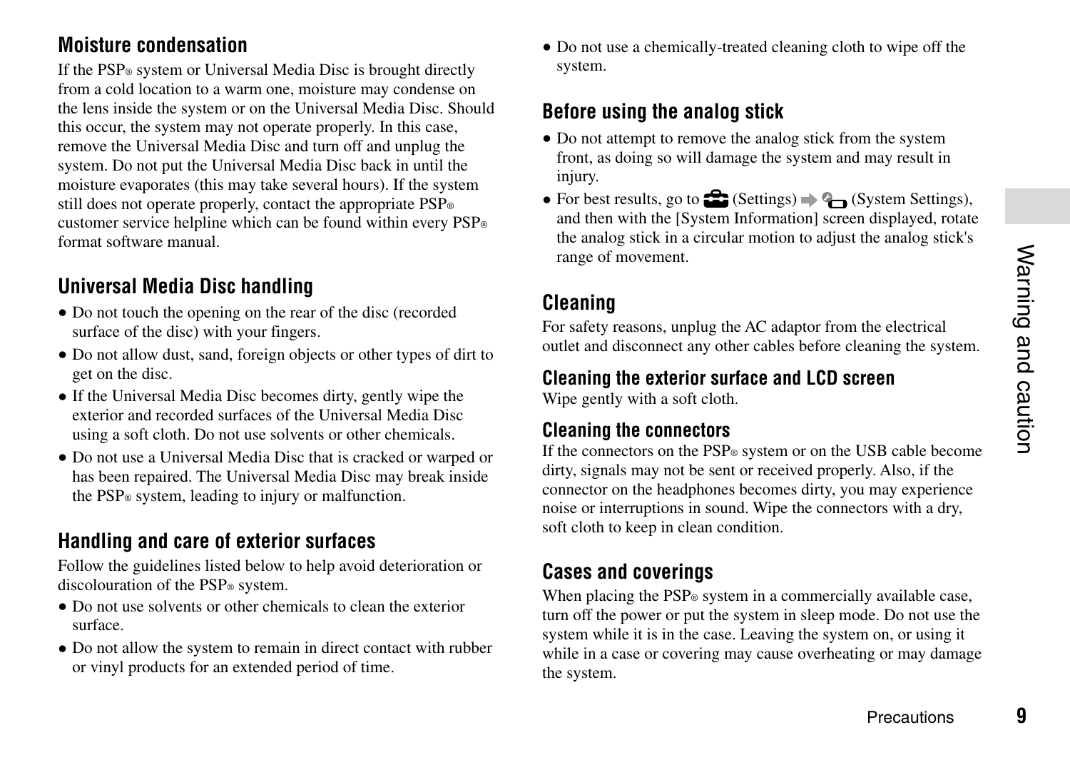a

## **Moisture condensation**

If the PSP® system or Universal Media Disc is brought directly from a cold location to a warm one, moisture may condense on the lens inside the system or on the Universal Media Disc. Should this occur, the system may not operate properly. In this case, remove the Universal Media Disc and turn off and unplug the system. Do not put the Universal Media Disc back in until the moisture evaporates (this may take several hours). If the system still does not operate properly, contact the appropriate PSP® customer service helpline which can be found within every PSP® format software manual.

# **Universal Media Disc handling**

- Do not touch the opening on the rear of the disc (recorded surface of the disc) with your fingers.
- Do not allow dust, sand, foreign objects or other types of dirt to get on the disc.
- If the Universal Media Disc becomes dirty, gently wipe the exterior and recorded surfaces of the Universal Media Disc using a soft cloth. Do not use solvents or other chemicals.
- Do not use a Universal Media Disc that is cracked or warped or has been repaired. The Universal Media Disc may break inside the PSP® system, leading to injury or malfunction.

# **Handling and care of exterior surfaces**

Follow the guidelines listed below to help avoid deterioration or discolouration of the PSP® system.

- Do not use solvents or other chemicals to clean the exterior surface.
- Do not allow the system to remain in direct contact with rubber or vinyl products for an extended period of time.

 Do not use a chemically-treated cleaning cloth to wipe off the system.

# **Before using the analog stick**

- Do not attempt to remove the analog stick from the system front, as doing so will damage the system and may result in injury.
- For best results, go to  $\mathbb{Z}$  (Settings)  $\Rightarrow$  Q (System Settings), and then with the [System Information] screen displayed, rotate the analog stick in a circular motion to adjust the analog stick's range of movement.

# **Cleaning**

For safety reasons, unplug the AC adaptor from the electrical outlet and disconnect any other cables before cleaning the system.

#### **Cleaning the exterior surface and LCD screen**

Wipe gently with a soft cloth.

#### **Cleaning the connectors**

If the connectors on the PSP<sup>®</sup> system or on the USB cable become dirty, signals may not be sent or received properly. Also, if the connector on the headphones becomes dirty, you may experience noise or interruptions in sound. Wipe the connectors with a dry, soft cloth to keep in clean condition.

## **Cases and coverings**

When placing the PSP® system in a commercially available case. turn off the power or put the system in sleep mode. Do not use the system while it is in the case. Leaving the system on, or using it while in a case or covering may cause overheating or may damage the system.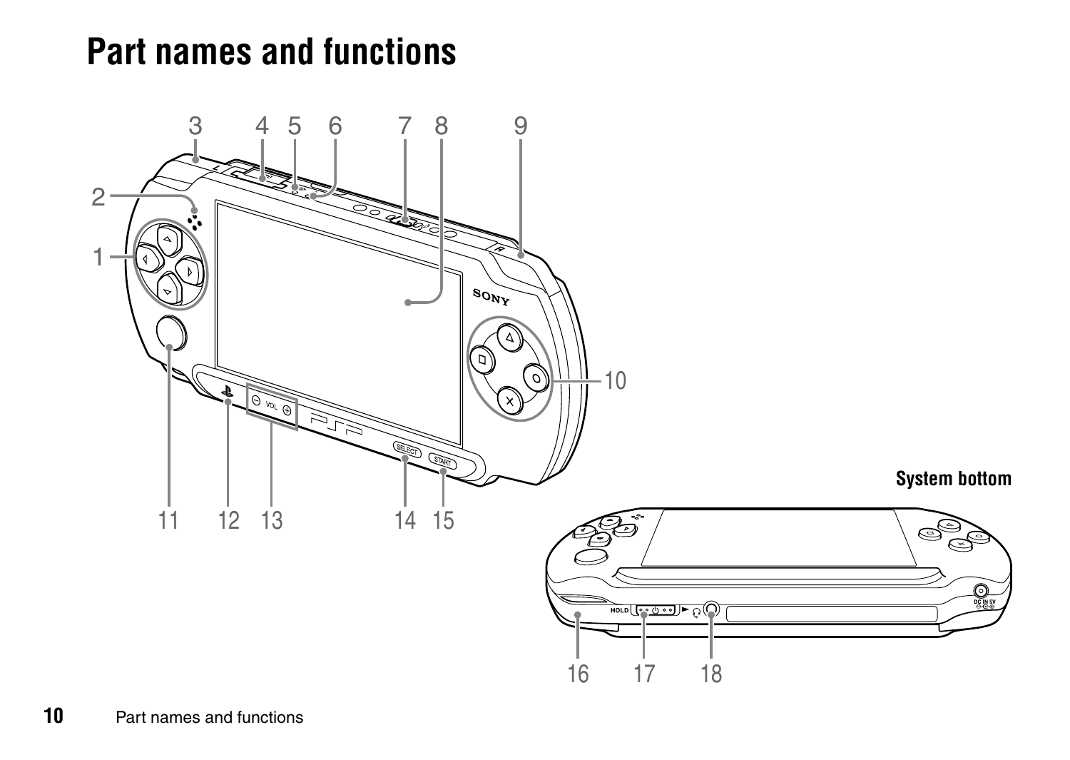# <span id="page-9-0"></span>**Part names and functions**

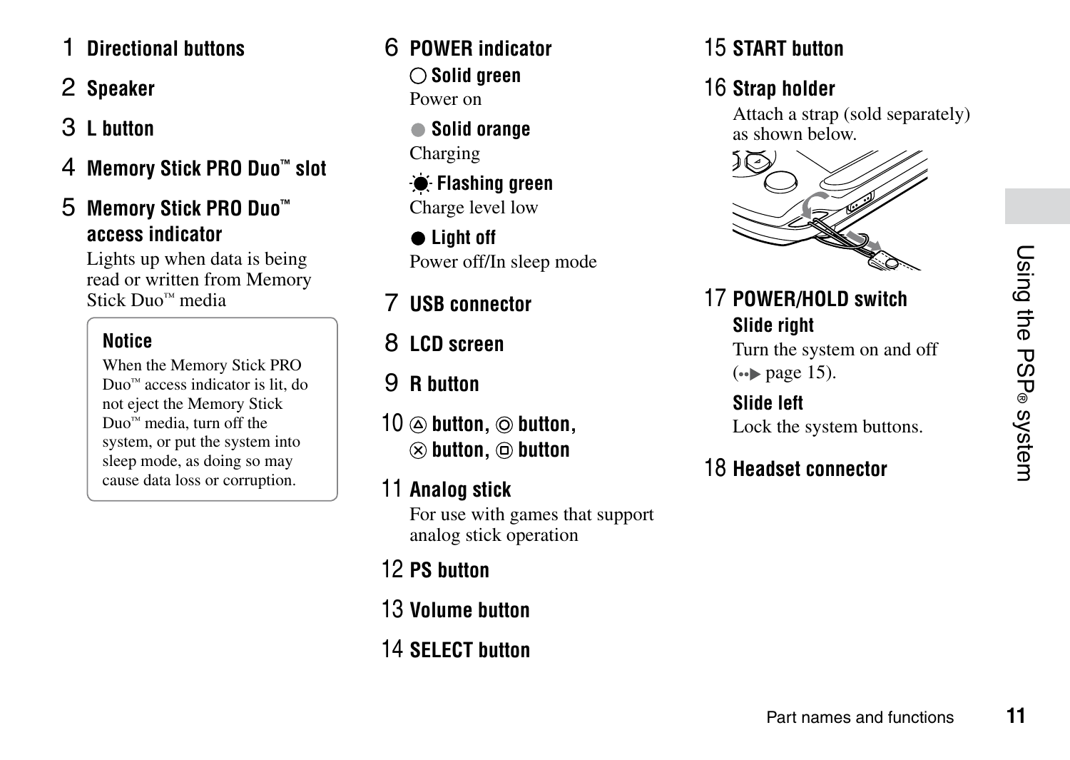# 1 **Directional buttons**

# 2 **Speaker**

- 3 **L button**
- 4 **Memory Stick PRO Duo™ slot**

# 5 **Memory Stick PRO Duo™ access indicator**

Lights up when data is being read or written from Memory Stick Duo™ media

# **Notice**

When the Memory Stick PRO Duo™ access indicator is lit, do not eject the Memory Stick Duo<sup>™</sup> media, turn off the system, or put the system into sleep mode, as doing so may cause data loss or corruption.

# 6 **POWER indicator Solid green** Power on

 **Solid orange** Charging

 **Flashing green** Charge level low

 **Light off** Power off/In sleep mode

7 **USB connector**

8 **LCD screen**

9 **R button**

- 10  $\oslash$  button,  $\oslash$  button,  $\otimes$  button,  $\circledcirc$  button
- 11 **Analog stick**

For use with games that support analog stick operation

- 12 **PS button**
- 13 **Volume button**
- 14 **SELECT button**

# 15 **START button**

# 16 **Strap holder**

Attach a strap (sold separately) as shown below.



# 17 **POWER/HOLD switch Slide right** Turn the system on and off

 $\leftrightarrow$  page 15).

**Slide left** Lock the system buttons.

# 18 **Headset connector**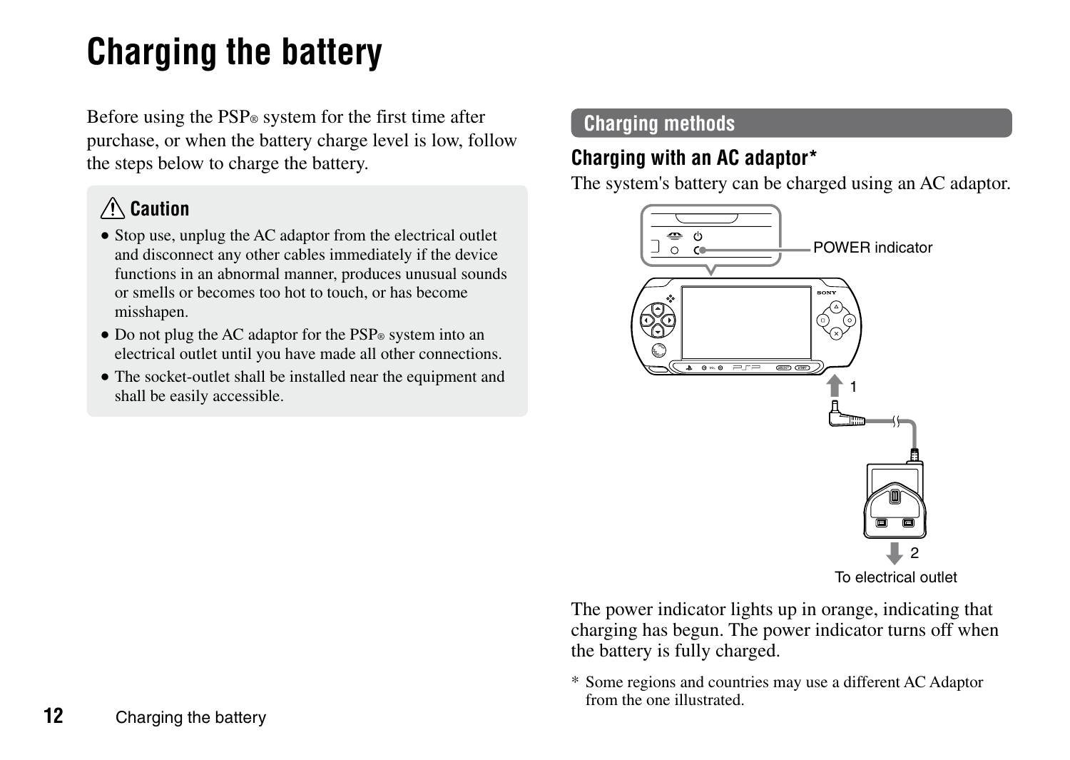# <span id="page-11-0"></span>**Charging the battery**

Before using the PSP® system for the first time after purchase, or when the battery charge level is low, follow the steps below to charge the battery.

# **Caution**

- Stop use, unplug the AC adaptor from the electrical outlet and disconnect any other cables immediately if the device functions in an abnormal manner, produces unusual sounds or smells or becomes too hot to touch, or has become misshapen.
- Do not plug the AC adaptor for the PSP® system into an electrical outlet until you have made all other connections.
- The socket-outlet shall be installed near the equipment and shall be easily accessible.

## **Charging methods**

# **Charging with an AC adaptor\***

The system's battery can be charged using an AC adaptor.



To electrical outlet

The power indicator lights up in orange, indicating that charging has begun. The power indicator turns off when the battery is fully charged.

\* Some regions and countries may use a different AC Adaptor from the one illustrated.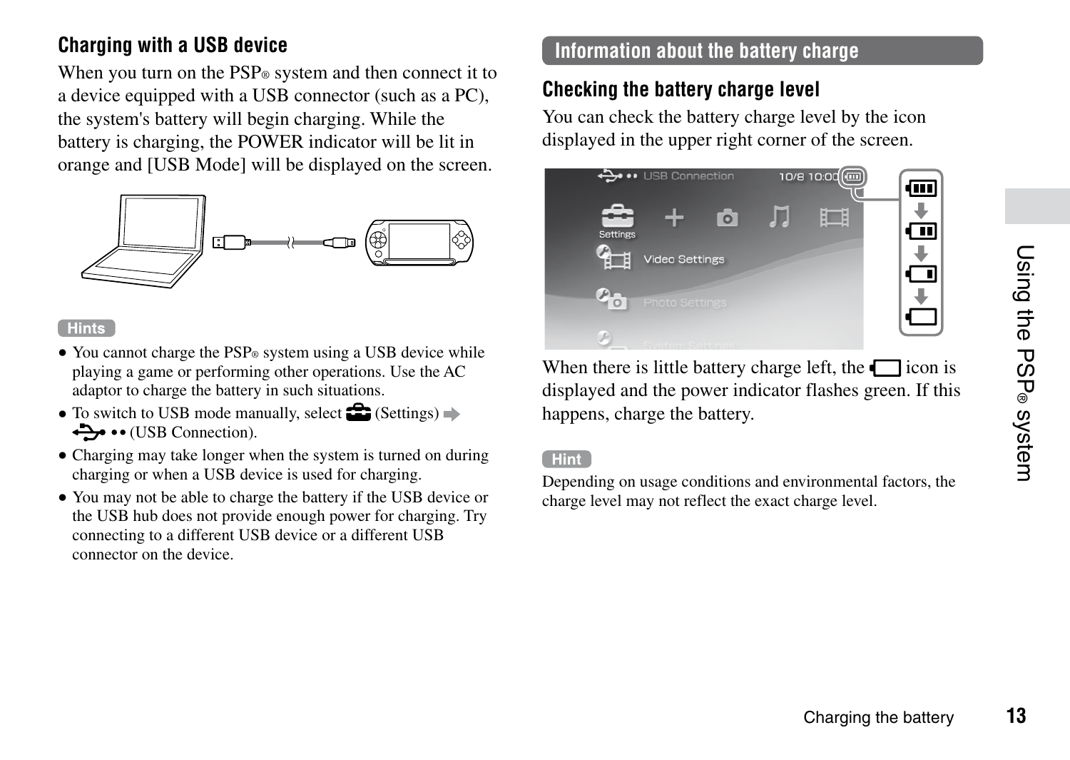# Using the PSP® system **13**Using the PSP® system

# **Charging with a USB device**

When you turn on the  $PSP<sub>®</sub>$  system and then connect it to a device equipped with a USB connector (such as a PC) the system's battery will begin charging. While the battery is charging, the POWER indicator will be lit in orange and [USB Mode] will be displayed on the screen.



#### **Hints**

- You cannot charge the PSP® system using a USB device while playing a game or performing other operations. Use the AC adaptor to charge the battery in such situations.
- $\bullet$  To switch to USB mode manually, select  $\bullet$  (Settings)  $\bullet$ (USB Connection).
- Charging may take longer when the system is turned on during charging or when a USB device is used for charging.
- You may not be able to charge the battery if the USB device or the USB hub does not provide enough power for charging. Try connecting to a different USB device or a different USB connector on the device.

# **Information about the battery charge**

# **Checking the battery charge level**

You can check the battery charge level by the icon displayed in the upper right corner of the screen.



When there is little battery charge left, the  $\Box$  icon is displayed and the power indicator flashes green. If this happens, charge the battery.

#### **Hint**

Depending on usage conditions and environmental factors, the charge level may not reflect the exact charge level.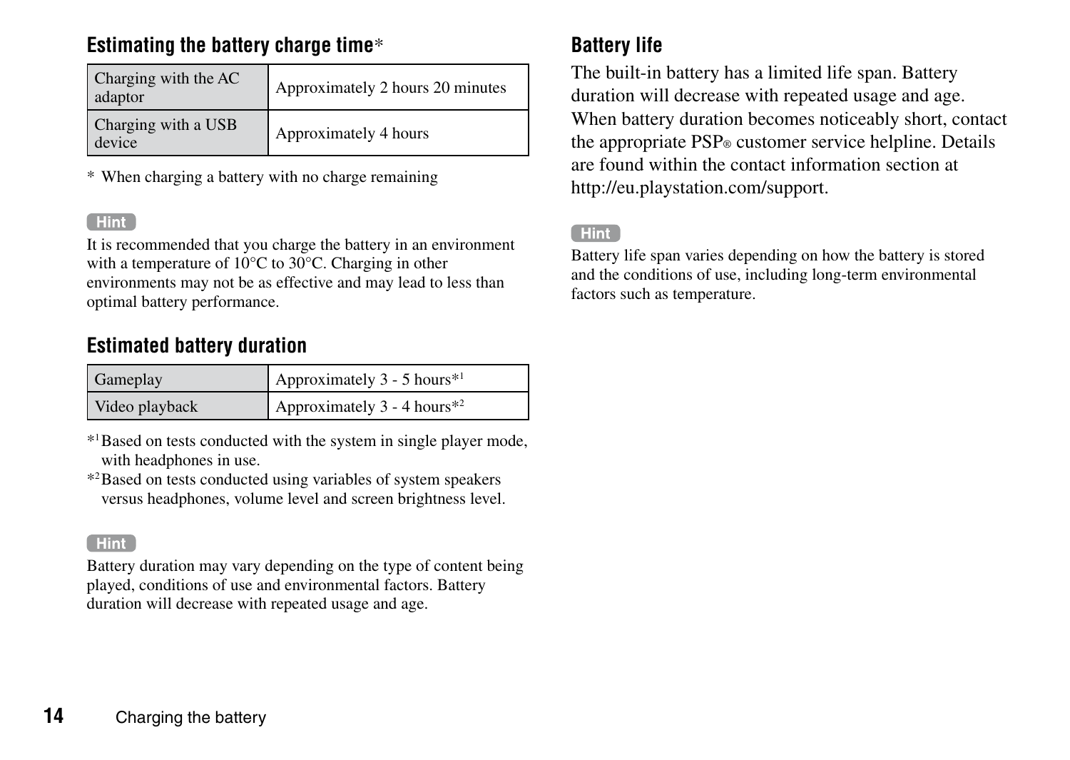# **Estimating the battery charge time**\*

| Charging with the AC<br>adaptor | Approximately 2 hours 20 minutes |
|---------------------------------|----------------------------------|
| Charging with a USB<br>device   | Approximately 4 hours            |

\* When charging a battery with no charge remaining

#### Hint<sup>1</sup>

It is recommended that you charge the battery in an environment with a temperature of 10°C to 30°C. Charging in other environments may not be as effective and may lead to less than optimal battery performance.

# **Estimated battery duration**

| Gameplay       | Approximately $3 - 5$ hours <sup>*1</sup> |
|----------------|-------------------------------------------|
| Video playback | Approximately 3 - 4 hours <sup>*2</sup>   |

\*1Based on tests conducted with the system in single player mode, with headphones in use.

\*2Based on tests conducted using variables of system speakers versus headphones, volume level and screen brightness level.

#### Hint<sup>1</sup>

Battery duration may vary depending on the type of content being played, conditions of use and environmental factors. Battery duration will decrease with repeated usage and age.

# **Battery life**

The built-in battery has a limited life span. Battery duration will decrease with repeated usage and age. When battery duration becomes noticeably short, contact the appropriate PSP® customer service helpline. Details are found within the contact information section at http://eu.playstation.com/support.

#### **Hint**

Battery life span varies depending on how the battery is stored and the conditions of use, including long-term environmental factors such as temperature.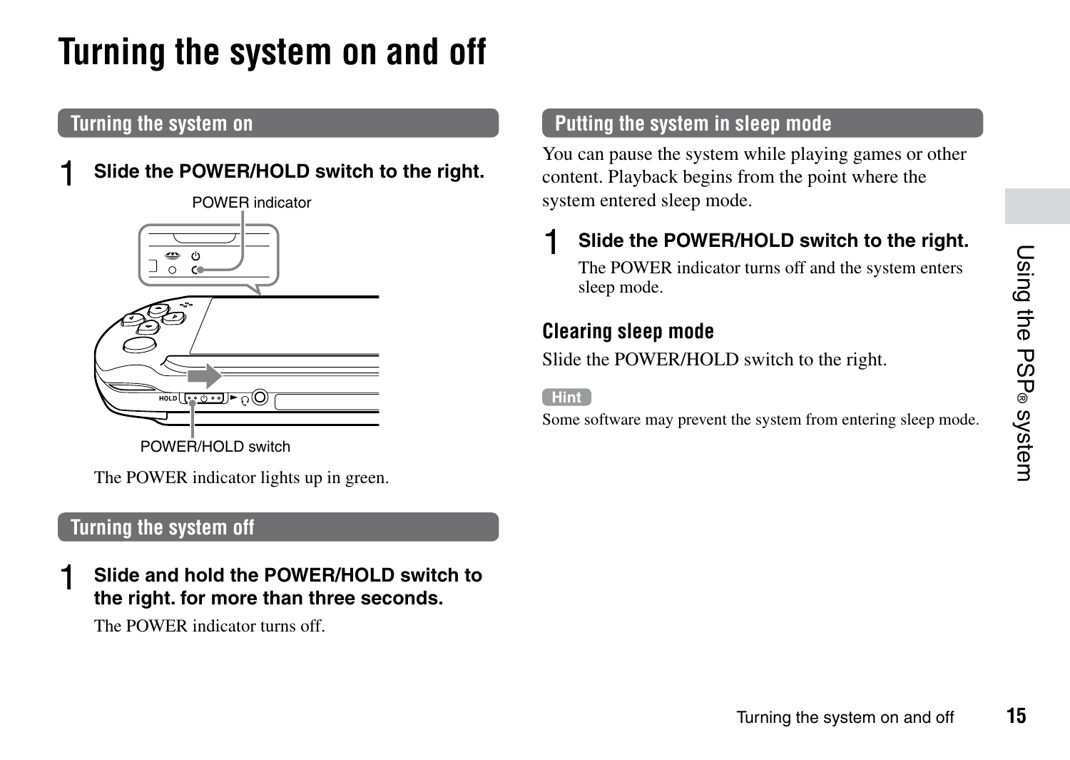# <span id="page-14-0"></span>**Turning the system on and off**

# **Turning the system on**

# 1 **Slide the POWER/HOLD switch to the right.**



The POWER indicator lights up in green.

#### **Turning the system off**

1 **Slide and hold the POWER/HOLD switch to the right. for more than three seconds.**

The POWER indicator turns off.

#### **Putting the system in sleep mode**

You can pause the system while playing games or other content. Playback begins from the point where the system entered sleep mode.

# 1 **Slide the POWER/HOLD switch to the right.**

The POWER indicator turns off and the system enters sleep mode.

#### **Clearing sleep mode**

Slide the POWER/HOLD switch to the right.

#### Hint<sup>1</sup>

Some software may prevent the system from entering sleep mode.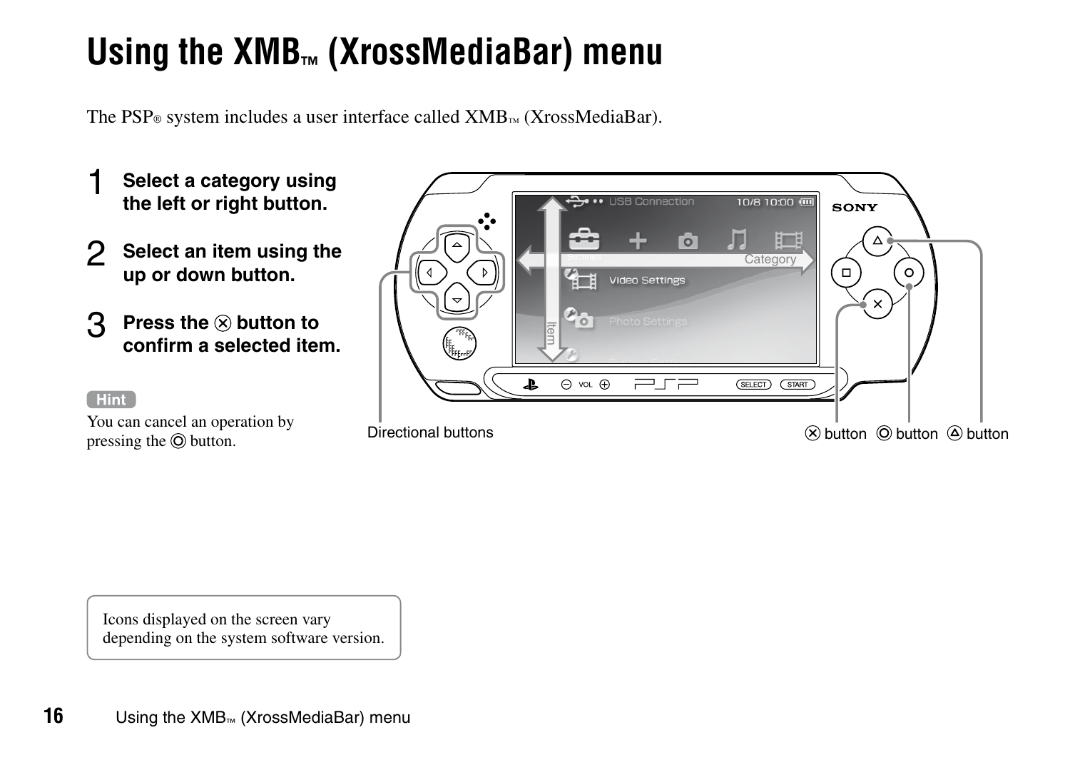# <span id="page-15-0"></span>**Using the XMB™ (XrossMediaBar) menu**

The PSP<sup>®</sup> system includes a user interface called  $XMB<sub>m</sub>$  (XrossMediaBar).

- 1 **Select <sup>a</sup> category using the left or right button.**
- 2 **Select an item using the up or down button.**
- 3 **Press the button to confirm a selected item.**

#### **Hint**

You can cancel an operation by pressing the  $\odot$  button.



Icons displayed on the screen vary depending on the system software version.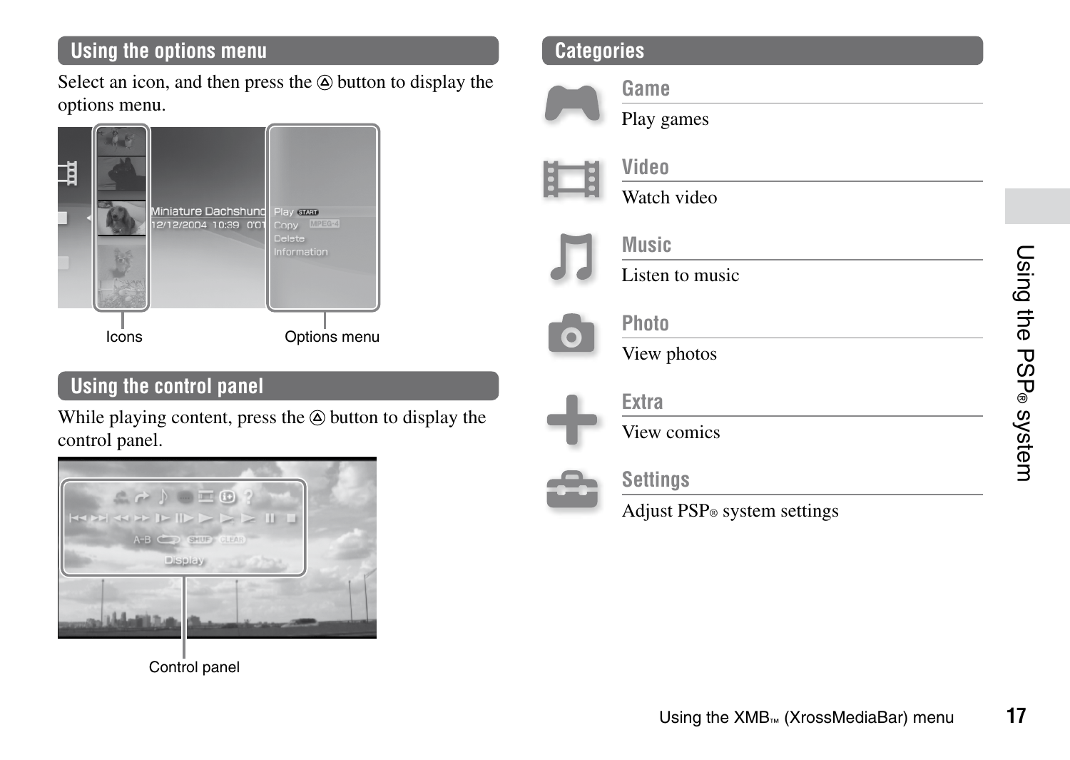# **Using the options menu**

Select an icon, and then press the  $\circledA$  button to display the options menu.



# **Using the control panel**

While playing content, press the  $\hat{\varphi}$  button to display the control panel.



# **Categories**



**Game**

Play games



# **Video**

Watch video



## **Music**

Listen to music



# **Photo**

View photos



# **Extra**

View comics



# **Settings**

Adjust PSP® system settings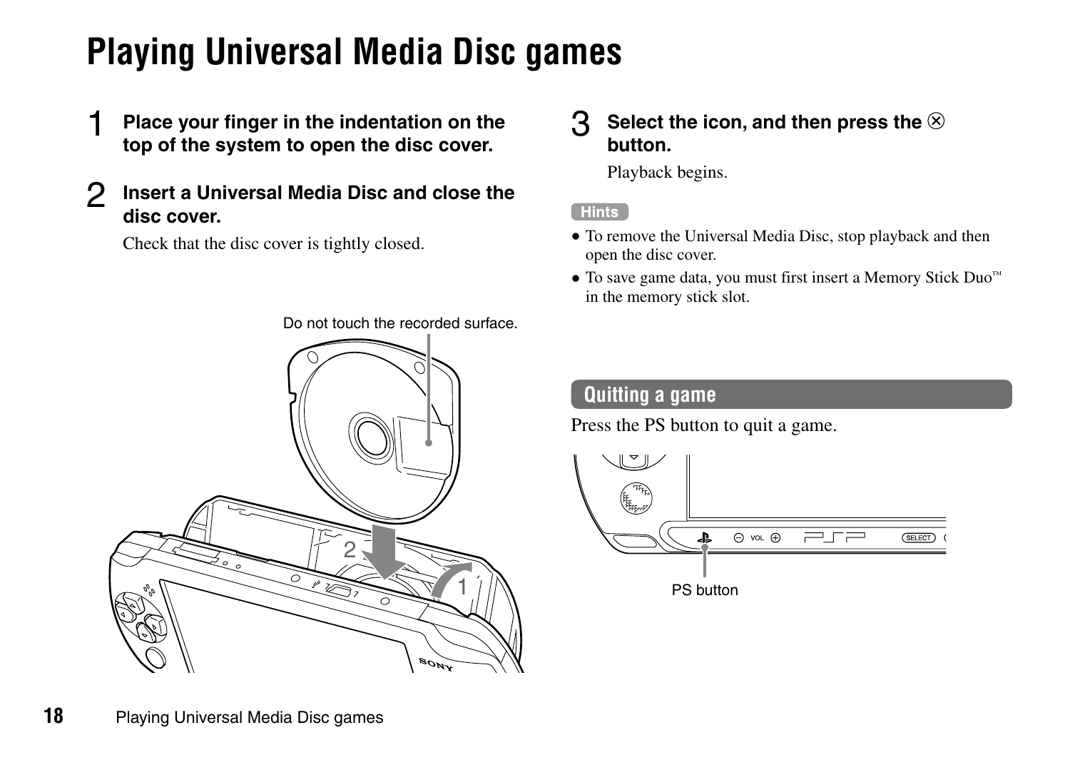# <span id="page-17-0"></span>**Playing Universal Media Disc games**

- 1 **Place your finger in the indentation on the top of the system to open the disc cover.**
- 2 **Insert <sup>a</sup> Universal Media Disc and close the disc cover.**

Check that the disc cover is tightly closed.

Do not touch the recorded surface.



## 3 **Select the icon, and then press the button.**

Playback begins.

#### Hints

- To remove the Universal Media Disc, stop playback and then open the disc cover.
- To save game data, you must first insert a Memory Stick Duo™ in the memory stick slot.

#### **Quitting a game**

Press the PS button to quit a game.

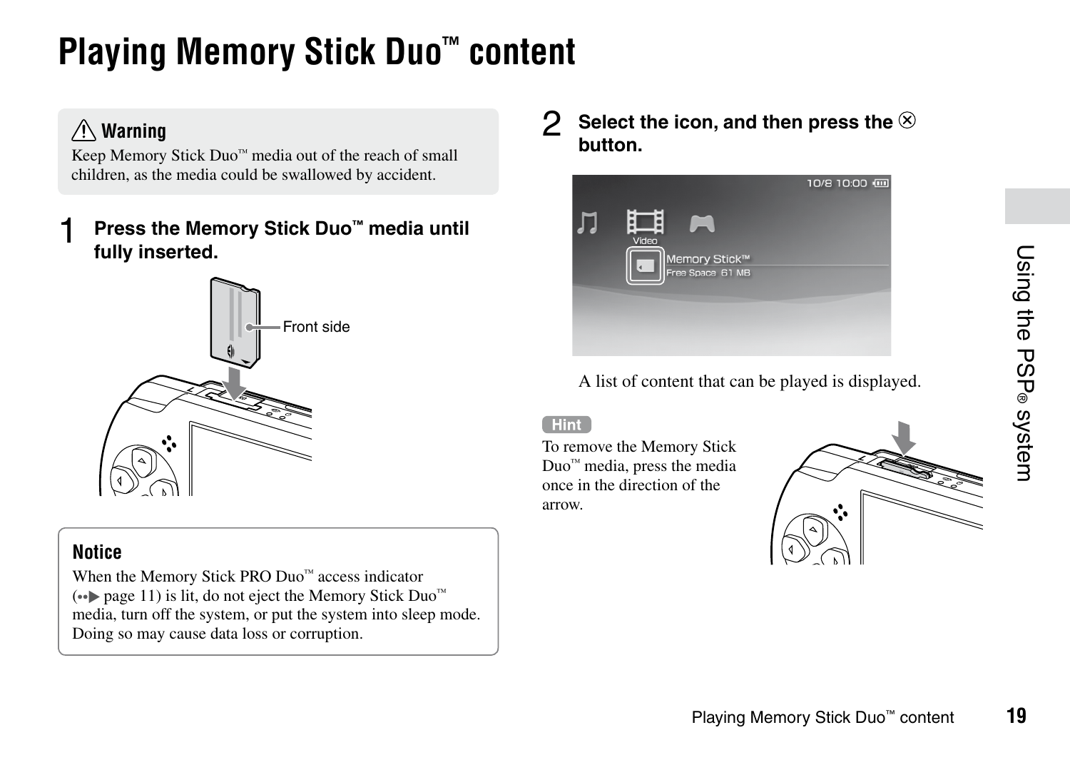# <span id="page-18-0"></span>**Playing Memory Stick Duo™ content**

# **Warning**

Keep Memory Stick Duo™ media out of the reach of small children, as the media could be swallowed by accident.

# 1 **Press the Memory Stick Duo™ media until fully inserted.**



## **Notice**

When the Memory Stick PRO Duo™ access indicator  $($ <sup>o</sup> ⊳ page 11) is lit, do not eject the Memory Stick Duo<sup>™</sup> media, turn off the system, or put the system into sleep mode. Doing so may cause data loss or corruption.

# 2 **Select the icon, and then press the button.**



A list of content that can be played is displayed.

#### Hint<sup>1</sup>

To remove the Memory Stick Duo™ media, press the media once in the direction of the arrow.

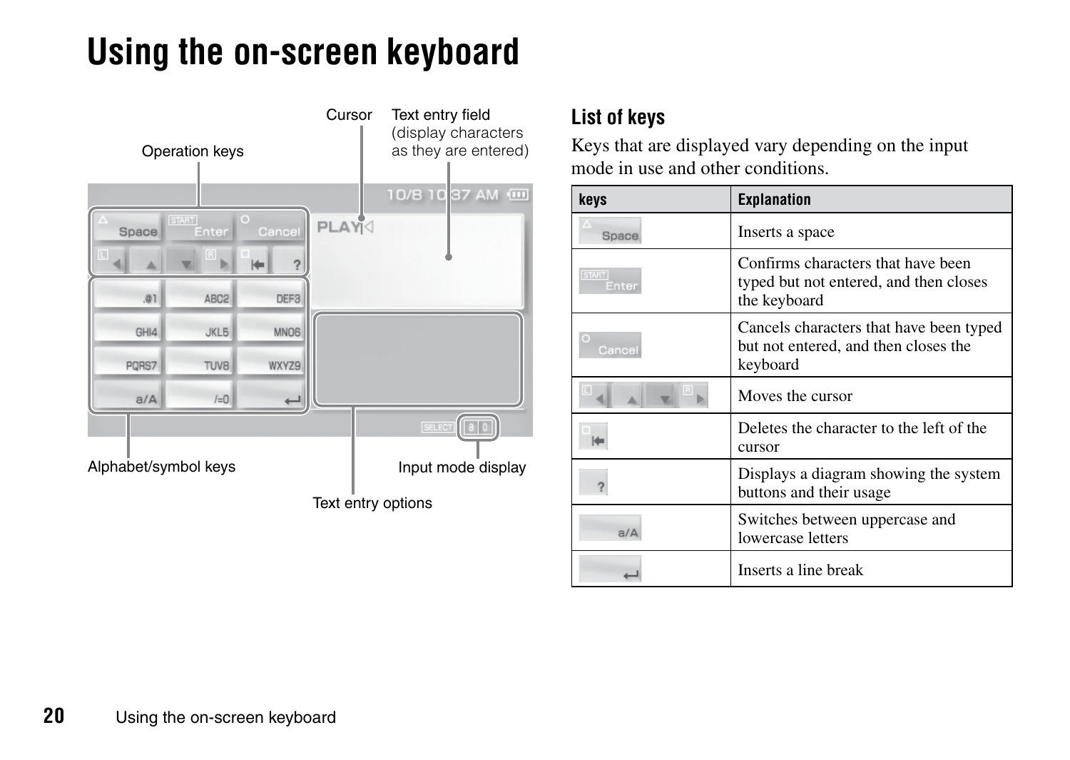# <span id="page-19-0"></span>**Using the on-screen keyboard**



# **List of keys**

Keys that are displayed vary depending on the input mode in use and other conditions.

| keys                  | <b>Explanation</b>                                                                           |  |  |
|-----------------------|----------------------------------------------------------------------------------------------|--|--|
| Space                 | Inserts a space                                                                              |  |  |
| <b>START</b><br>Enter | Confirms characters that have been<br>typed but not entered, and then closes<br>the keyboard |  |  |
| Cancel                | Cancels characters that have been typed<br>but not entered, and then closes the<br>keyboard  |  |  |
|                       | Moves the cursor                                                                             |  |  |
|                       | Deletes the character to the left of the<br>cursor                                           |  |  |
|                       | Displays a diagram showing the system<br>buttons and their usage                             |  |  |
| a/A                   | Switches between uppercase and<br>lowercase letters                                          |  |  |
|                       | Inserts a line break                                                                         |  |  |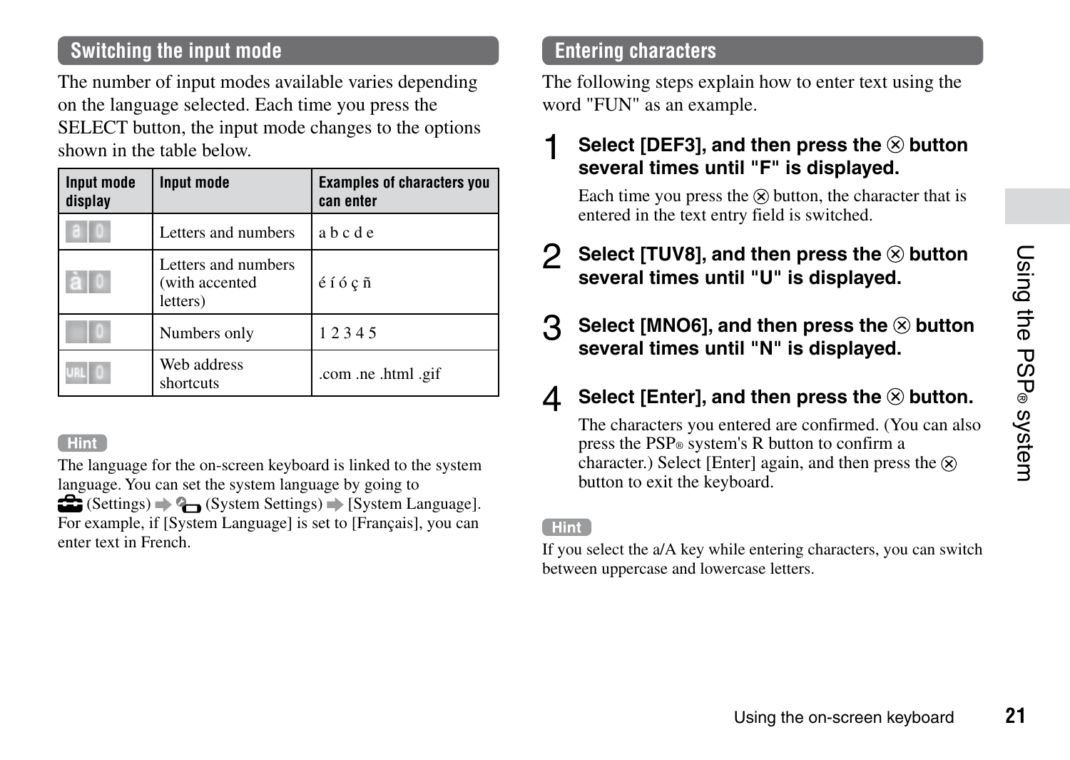# **Switching the input mode**

The number of input modes available varies depending on the language selected. Each time you press the SELECT button, the input mode changes to the options shown in the table below.

| Input mode<br>display | Input mode                                        | <b>Examples of characters you</b><br>can enter |
|-----------------------|---------------------------------------------------|------------------------------------------------|
|                       | Letters and numbers                               | abcde                                          |
|                       | Letters and numbers<br>(with accented<br>letters) | éíócñ                                          |
|                       | Numbers only                                      | 12345                                          |
|                       | Web address<br>shortcuts                          | .com .ne .html .gif                            |

#### Hint<sup>1</sup>

The language for the on-screen keyboard is linked to the system language. You can set the system language by going to  $\bigoplus$  (Settings)  $\bigoplus$  (System Settings)  $\bigoplus$  [System Language]. For example, if [System Language] is set to [Français], you can enter text in French.

## **Entering characters**

The following steps explain how to enter text using the word "FUN" as an example.

## 1 **Select [DEF3], and then press the button several times until "F" is displayed.**

Each time you press the  $\otimes$  button, the character that is entered in the text entry field is switched.

- 2 **Select [TUV8], and then press the button several times until "U" is displayed.**
- 3 **Select [MNO6], and then press the button several times until "N" is displayed.**

# 4 **Select [Enter], and then press the button.**

The characters you entered are confirmed. (You can also press the PSP® system's R button to confirm a character.) Select [Enter] again, and then press the  $\hat{\infty}$ button to exit the keyboard.

#### Hint<sup>1</sup>

If you select the a/A key while entering characters, you can switch between uppercase and lowercase letters.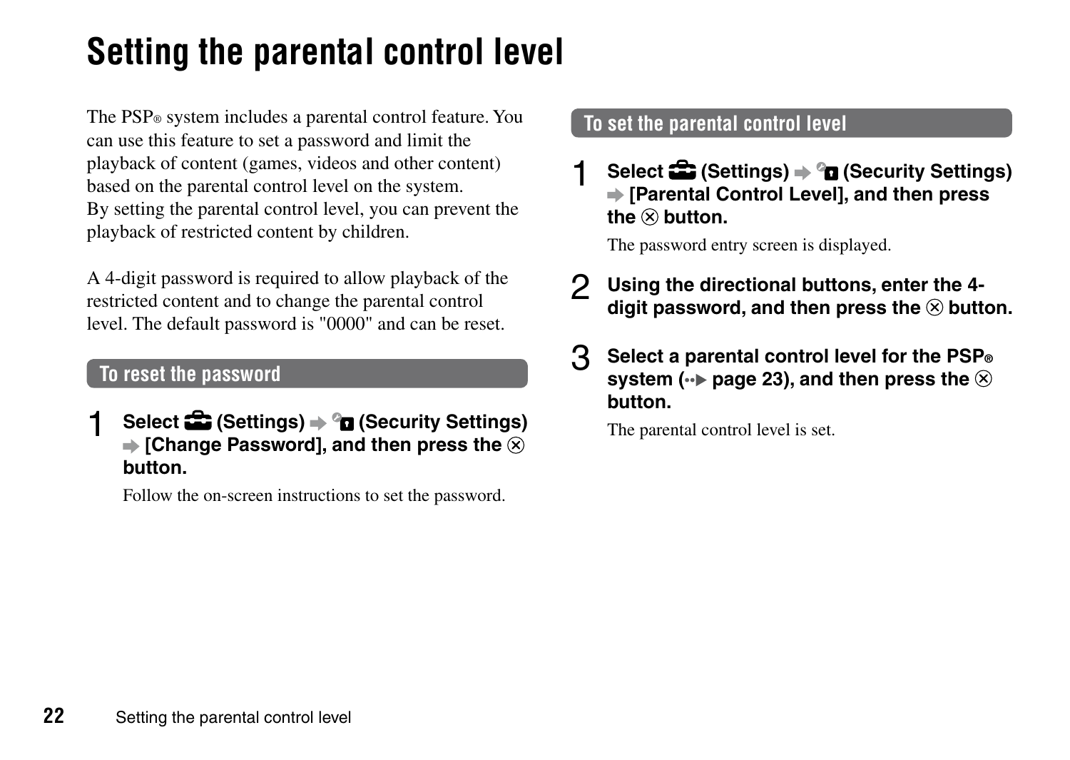# <span id="page-21-0"></span>**Setting the parental control level**

The PSP® system includes a parental control feature. You can use this feature to set a password and limit the playback of content (games, videos and other content) based on the parental control level on the system. By setting the parental control level, you can prevent the playback of restricted content by children.

A 4-digit password is required to allow playback of the restricted content and to change the parental control level. The default password is "0000" and can be reset.

# **To reset the password**

1 **Select (Settings) (Security Settings)**  $\Rightarrow$  **[Change Password], and then press the**  $\widehat{\infty}$ **button.**

Follow the on-screen instructions to set the password.

# **To set the parental control level**

1 **Select (Settings) (Security Settings) [Parental Control Level], and then press**  $the \otimes h$ utton.

The password entry screen is displayed.

- 2 **Using the directional buttons, enter the 4 digit password, and then press the button.**
- 3 **Select <sup>a</sup> parental control level for the PSP® system**  $(\cdot \cdot)$  page 23), and then press the  $\otimes$ **button.**

The parental control level is set.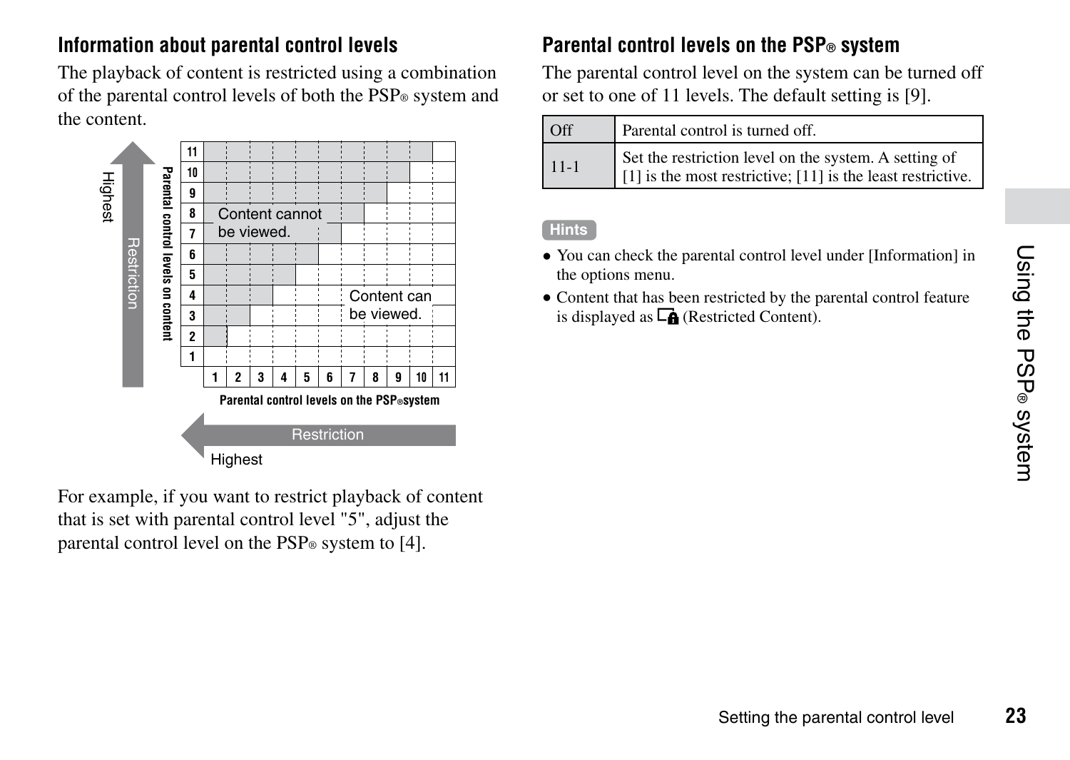# **Information about parental control levels**

The playback of content is restricted using a combination of the parental control levels of both the PSP® system and the content.



For example, if you want to restrict playback of content that is set with parental control level "5", adjust the parental control level on the PSP<sup>®</sup> system to [4].

# **Parental control levels on the PSP® system**

The parental control level on the system can be turned off or set to one of 11 levels. The default setting is [9].

| <b>Off</b> | Parental control is turned off.                                                                                      |
|------------|----------------------------------------------------------------------------------------------------------------------|
| $11-1$     | Set the restriction level on the system. A setting of<br>[1] is the most restrictive; [11] is the least restrictive. |

#### **Hints**

- You can check the parental control level under [Information] in the options menu.
- Content that has been restricted by the parental control feature is displayed as  $\Box$  (Restricted Content).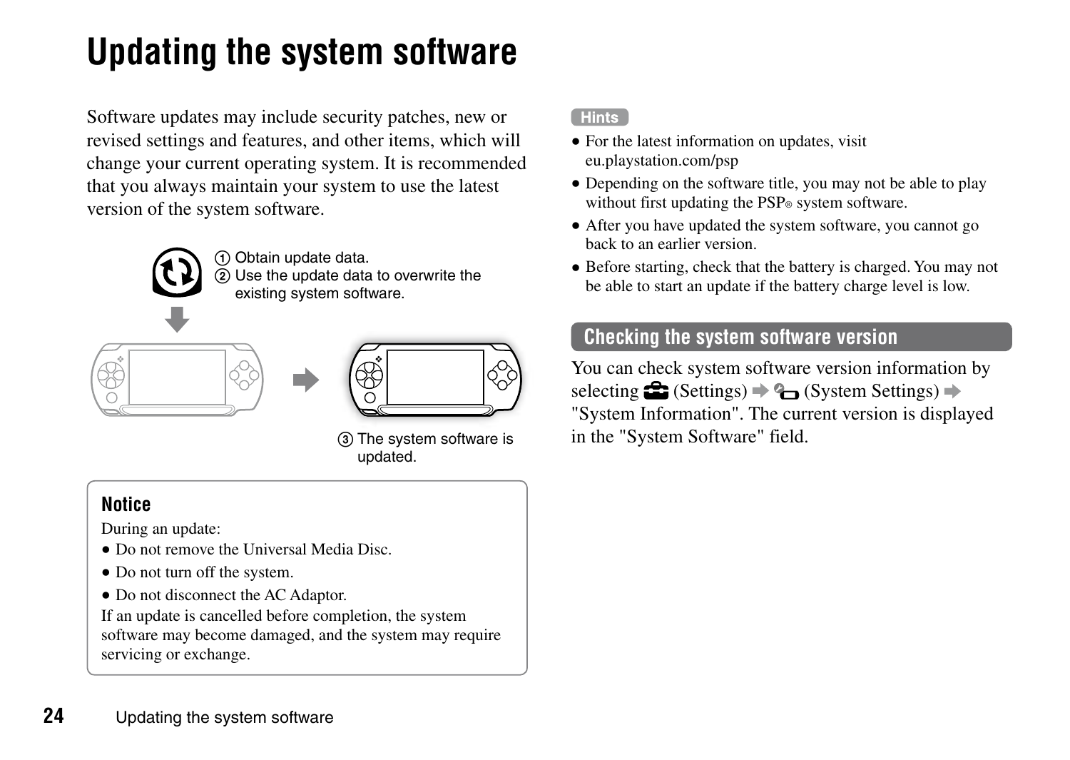# <span id="page-23-0"></span>**Updating the system software**

Software updates may include security patches, new or revised settings and features, and other items, which will change your current operating system. It is recommended that you always maintain your system to use the latest version of the system software.



 Obtain update data. Use the update data to overwrite the existing system software.







 The system software is updated.

# **Notice**

During an update:

- Do not remove the Universal Media Disc.
- Do not turn off the system.
- Do not disconnect the AC Adaptor.

If an update is cancelled before completion, the system software may become damaged, and the system may require servicing or exchange.

#### **Hints**

- For the latest information on updates, visit eu.playstation.com/psp
- Depending on the software title, you may not be able to play without first updating the PSP® system software.
- After you have updated the system software, you cannot go back to an earlier version.
- Before starting, check that the battery is charged. You may not be able to start an update if the battery charge level is low.

# **Checking the system software version**

You can check system software version information by selecting  $\bigoplus$  (Settings)  $\Rightarrow$   $\bigoplus$  (System Settings)  $\Rightarrow$ "System Information". The current version is displayed in the "System Software" field.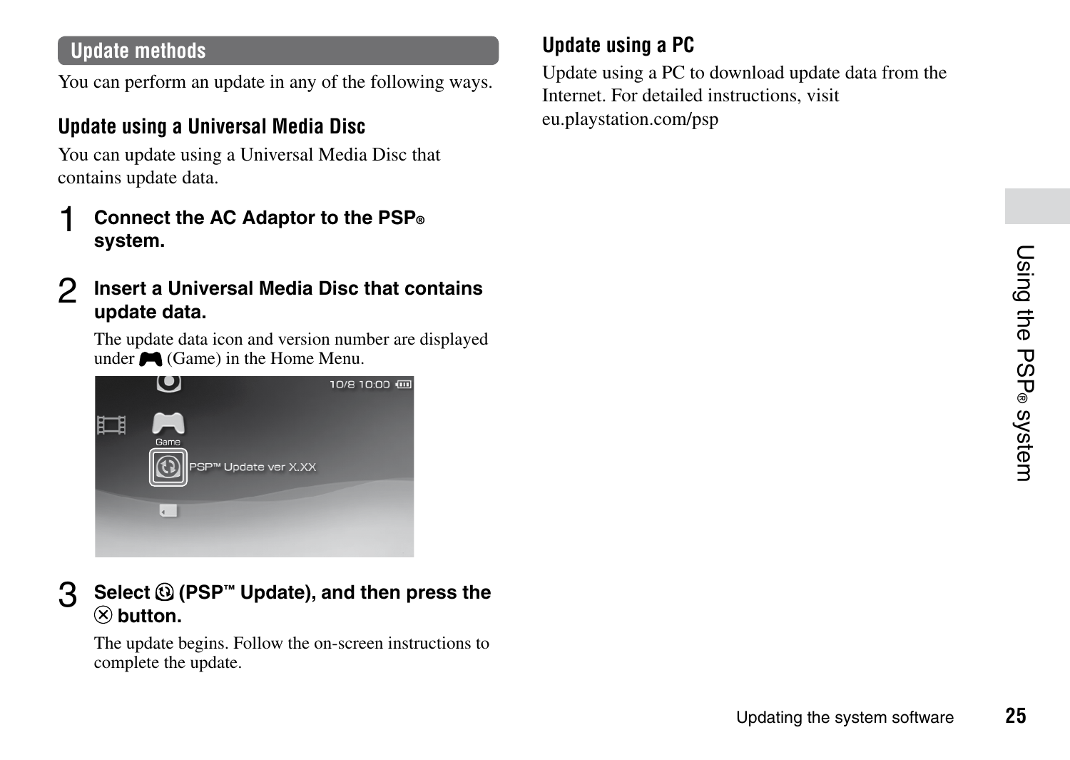# Using the PSP® system **25**Using the PSP® system

# **Update methods**

You can perform an update in any of the following ways.

# **Update using a Universal Media Disc**

You can update using a Universal Media Disc that contains update data.

- 1 **Connect the AC Adaptor to the PSP® system.**
- 2 **Insert <sup>a</sup> Universal Media Disc that contains update data.**

The update data icon and version number are displayed under  $\bullet$  (Game) in the Home Menu.



3 **Select (PSP™ Update), and then press the button.**

The update begins. Follow the on-screen instructions to complete the update.

# **Update using a PC**

Update using a PC to download update data from the Internet. For detailed instructions, visit eu.playstation.com/psp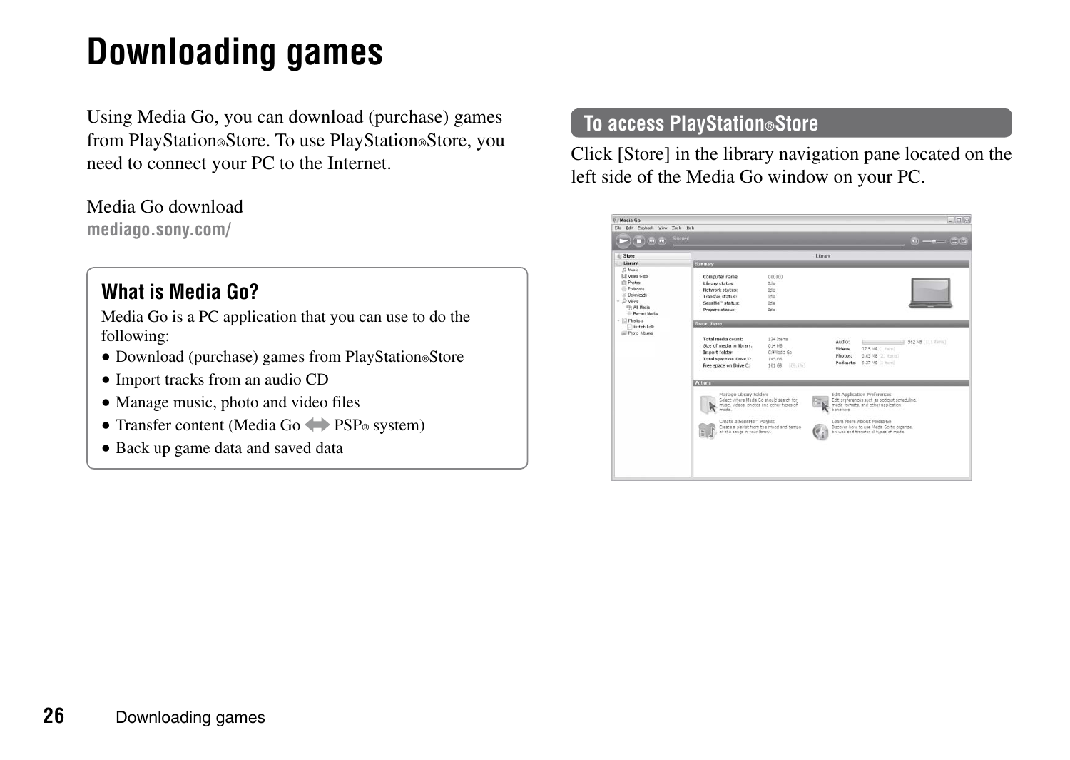# <span id="page-25-0"></span>**Downloading games**

Using Media Go, you can download (purchase) games from PlayStation®Store. To use PlayStation®Store, you need to connect your PC to the Internet.

#### Media Go download

**mediago.sony.com/**

# **What is Media Go?**

Media Go is a PC application that you can use to do the following:

- Download (purchase) games from PlayStation®Store
- Import tracks from an audio CD
- Manage music, photo and video files
- Transfer content (Media Go  $\leftrightarrow$  PSP® system)
- Back up game data and saved data

# **To access PlayStation®Store**

Click [Store] in the library navigation pane located on the left side of the Media Go window on your PC.

| di Stere                                    |                                                   |                                          | Library       |                                                                                   |
|---------------------------------------------|---------------------------------------------------|------------------------------------------|---------------|-----------------------------------------------------------------------------------|
| 1. Library                                  |                                                   |                                          |               |                                                                                   |
| $23$ Music                                  | <b>System</b>                                     |                                          |               |                                                                                   |
| <b>Ef Video Clay</b>                        | Conspicter name:                                  | 000000                                   |               |                                                                                   |
| th Photos                                   | Library status:                                   | tion.                                    |               |                                                                                   |
| (I) Profession                              | <b>Network status:</b>                            | title.                                   |               |                                                                                   |
| D. Drawinarts                               | Transfer status:                                  | 254                                      |               |                                                                                   |
| $ D$ Vesso                                  | Senditur" status:                                 | 204                                      |               |                                                                                   |
| IT: All Media                               | President status:                                 | 164                                      |               |                                                                                   |
| 10 Parant Media                             |                                                   |                                          |               |                                                                                   |
| $=$ $\frac{1}{2}$ Pladets<br>C British Felk | <b>System Manager</b>                             |                                          |               |                                                                                   |
| (2) Photo Mounts                            |                                                   |                                          |               |                                                                                   |
|                                             | Total raedia count:                               | 134 Items                                |               |                                                                                   |
|                                             | Size of media in library:                         | 614 98                                   | Audio:        | The Company of the Sea 200 (11) Form 1                                            |
|                                             | Incore folder:                                    | Children Co.                             | <b>Videos</b> | 37.5 MR (1 Ren)                                                                   |
|                                             | Total saars on Drive C.                           | 145.08                                   | Photos        | <b>SAY 880 (21 Horse)</b>                                                         |
|                                             | firms scales on Debat Co.                         | 101.08 (miles)                           |               | Podcasts: 9.37 HB (1 nm)                                                          |
|                                             |                                                   |                                          |               |                                                                                   |
|                                             | <b>DOM</b> YOUR                                   |                                          |               |                                                                                   |
|                                             |                                                   |                                          |               |                                                                                   |
|                                             | Hanage Library Folders                            |                                          |               | Edit Application Preferences                                                      |
|                                             | Select where Hede Go should search for            |                                          |               | Edit preferences such as podcast scheduling.                                      |
|                                             | music, videos, photos and other types of<br>meda. |                                          | behavors.     | meda formsts, and other spokation.                                                |
|                                             |                                                   |                                          |               |                                                                                   |
|                                             | Create a Nonshir" Playlet                         |                                          |               | Learn Hore About Hedia Go.                                                        |
|                                             | of the songs in your licrary.                     | Creste a player from the mood and tempo- |               | Decover how to use Heda Go to organize.<br>brouse and transfer all tiges of meda. |
|                                             |                                                   |                                          |               |                                                                                   |
|                                             |                                                   |                                          |               |                                                                                   |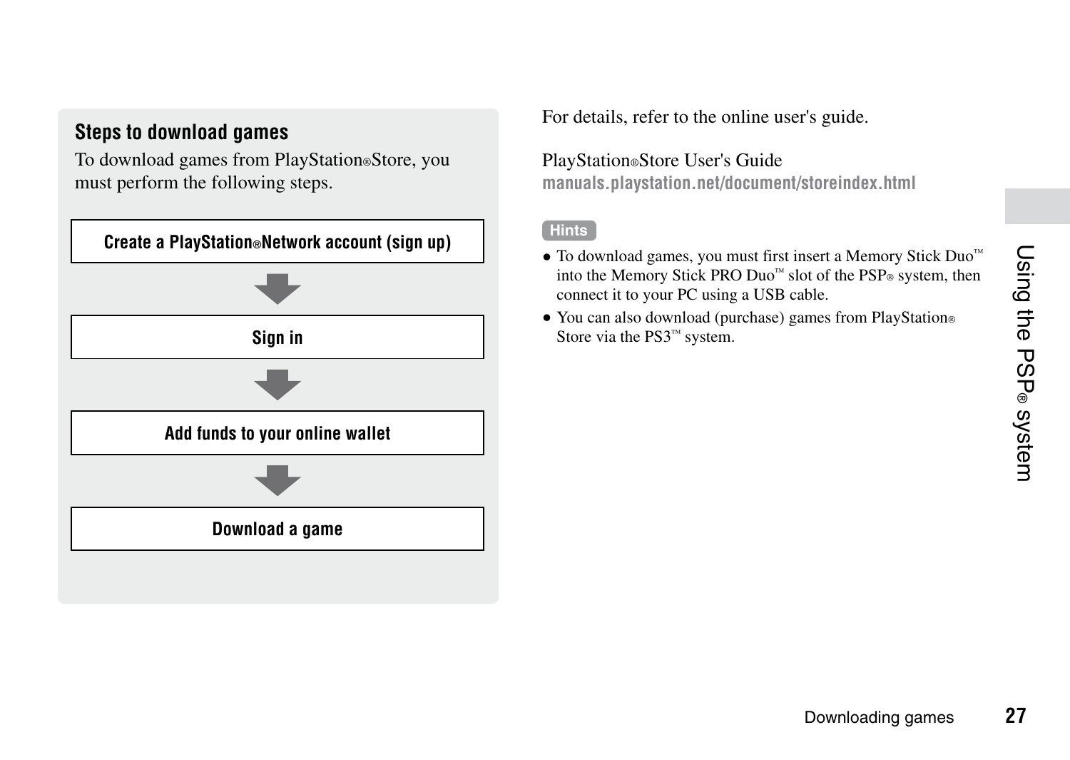## **Steps to download games**

To download games from PlayStation®Store, you must perform the following steps.



For details, refer to the online user's guide.

## PlayStation®Store User's Guide

**manuals.playstation.net/document/storeindex.html**

#### **Hints**

- To download games, you must first insert a Memory Stick Duo™ into the Memory Stick PRO Duo<sup> $<sup>m</sup>$ </sup> slot of the PSP® system, then</sup> connect it to your PC using a USB cable.
- You can also download (purchase) games from PlayStation® Store via the PS3™ system.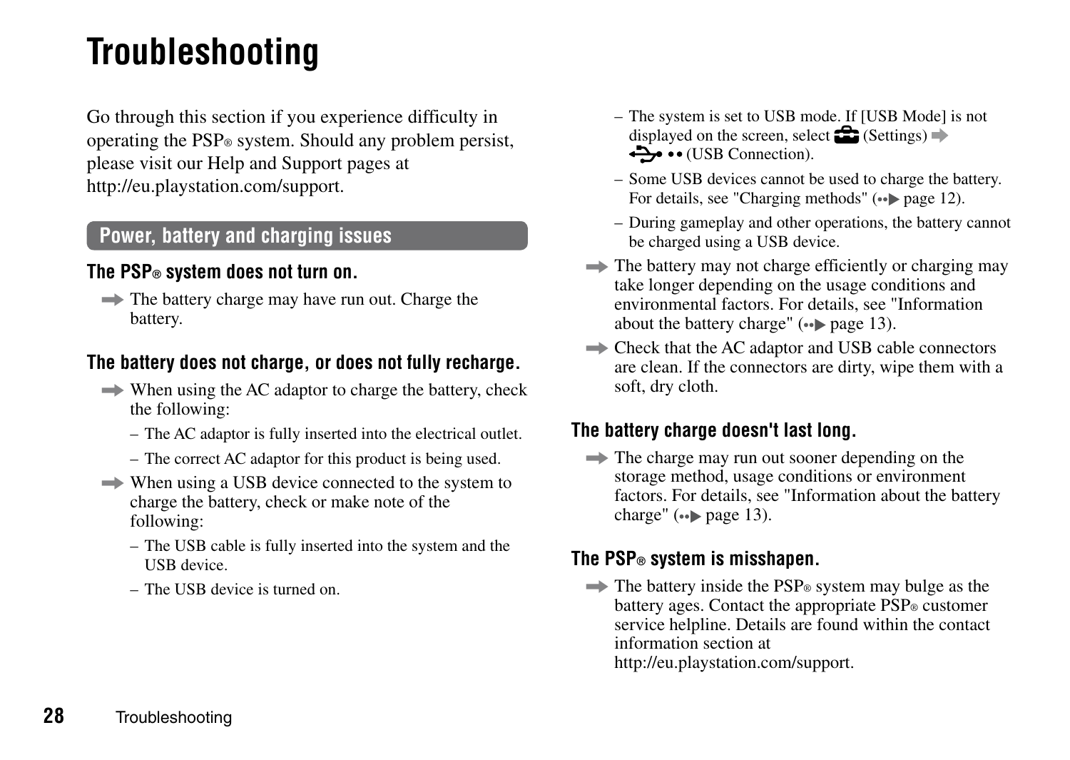# <span id="page-27-0"></span>**Troubleshooting**

Go through this section if you experience difficulty in operating the PSP® system. Should any problem persist, please visit our Help and Support pages at http://eu.playstation.com/support.

## **Power, battery and charging issues**

## **The PSP® system does not turn on.**

 $\Rightarrow$  The battery charge may have run out. Charge the battery.

#### **The battery does not charge, or does not fully recharge.**

- $\Rightarrow$  When using the AC adaptor to charge the battery, check the following:
	- The AC adaptor is fully inserted into the electrical outlet.
	- The correct AC adaptor for this product is being used.
- $\Rightarrow$  When using a USB device connected to the system to charge the battery, check or make note of the following:
	- The USB cable is fully inserted into the system and the USB device.
	- The USB device is turned on.
- The system is set to USB mode. If [USB Mode] is not displayed on the screen, select  $\mathbb{S}$  (Settings)  $\Rightarrow$  $\leftrightarrow$   $\bullet \bullet$  (USB Connection).
- Some USB devices cannot be used to charge the battery. For details, see "Charging methods"  $(* \rightarrow \text{page 12})$ .
- During gameplay and other operations, the battery cannot be charged using a USB device.
- $\Rightarrow$  The battery may not charge efficiently or charging may take longer depending on the usage conditions and environmental factors. For details, see "Information about the battery charge"  $(\bullet \bullet)$  page 13).
- $\Rightarrow$  Check that the AC adaptor and USB cable connectors are clean. If the connectors are dirty, wipe them with a soft, dry cloth.

#### **The battery charge doesn't last long.**

 $\Rightarrow$  The charge may run out sooner depending on the storage method, usage conditions or environment factors. For details, see "Information about the battery charge"  $\left( \bullet \bullet \bullet \right)$  page 13).

#### **The PSP® system is misshapen.**

 $\Rightarrow$  The battery inside the PSP<sup>®</sup> system may bulge as the battery ages. Contact the appropriate PSP® customer service helpline. Details are found within the contact information section at

http://eu.playstation.com/support.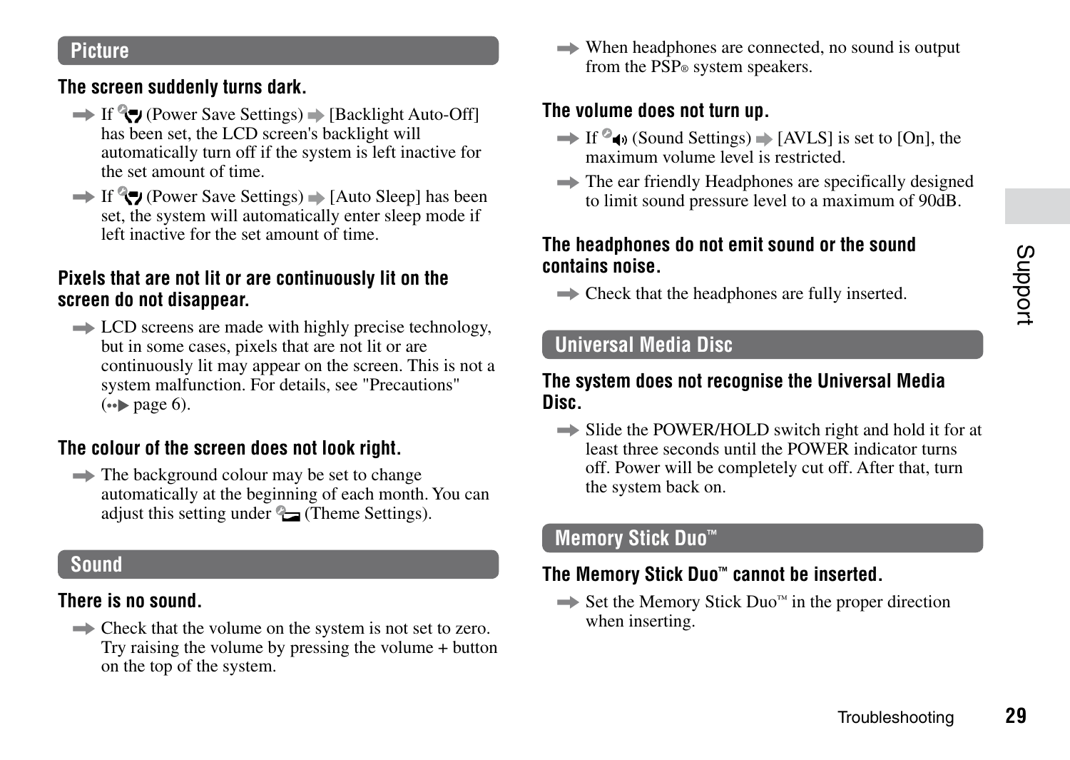## **Picture**

#### **The screen suddenly turns dark.**

- $\rightarrow$  If  $\rightarrow$  (Power Save Settings)  $\rightarrow$  [Backlight Auto-Off] has been set, the LCD screen's backlight will automatically turn off if the system is left inactive for the set amount of time.
- $\rightarrow$  If  $\rightarrow$  (Power Save Settings)  $\rightarrow$  [Auto Sleep] has been set, the system will automatically enter sleep mode if left inactive for the set amount of time.

#### **Pixels that are not lit or are continuously lit on the screen do not disappear.**

 $\Rightarrow$  LCD screens are made with highly precise technology, but in some cases, pixels that are not lit or are continuously lit may appear on the screen. This is not a system malfunction. For details, see "Precautions"  $\leftrightarrow$  page 6).

#### **The colour of the screen does not look right.**

 $\Rightarrow$  The background colour may be set to change automatically at the beginning of each month. You can adjust this setting under  $\mathbb{Q}$  (Theme Settings).

#### **Sound**

## **There is no sound.**

 $\Rightarrow$  Check that the volume on the system is not set to zero. Try raising the volume by pressing the volume + button on the top of the system.

 $\Rightarrow$  When headphones are connected, no sound is output from the PSP® system speakers.

#### **The volume does not turn up.**

- $\rightarrow$  If  $\degree$  to (Sound Settings)  $\rightarrow$  [AVLS] is set to [On], the maximum volume level is restricted.
- $\Rightarrow$  The ear friendly Headphones are specifically designed to limit sound pressure level to a maximum of 90dB.

#### **The headphones do not emit sound or the sound contains noise.**

 $\Rightarrow$  Check that the headphones are fully inserted.

# **Universal Media Disc**

#### **The system does not recognise the Universal Media Disc.**

 $\Rightarrow$  Slide the POWER/HOLD switch right and hold it for at least three seconds until the POWER indicator turns off. Power will be completely cut off. After that, turn the system back on.

#### **Memory Stick Duo™**

## **The Memory Stick Duo™ cannot be inserted.**

 $\Rightarrow$  Set the Memory Stick Duo<sup> $<sub>m</sub>$ </sup> in the proper direction</sup></sub> when inserting.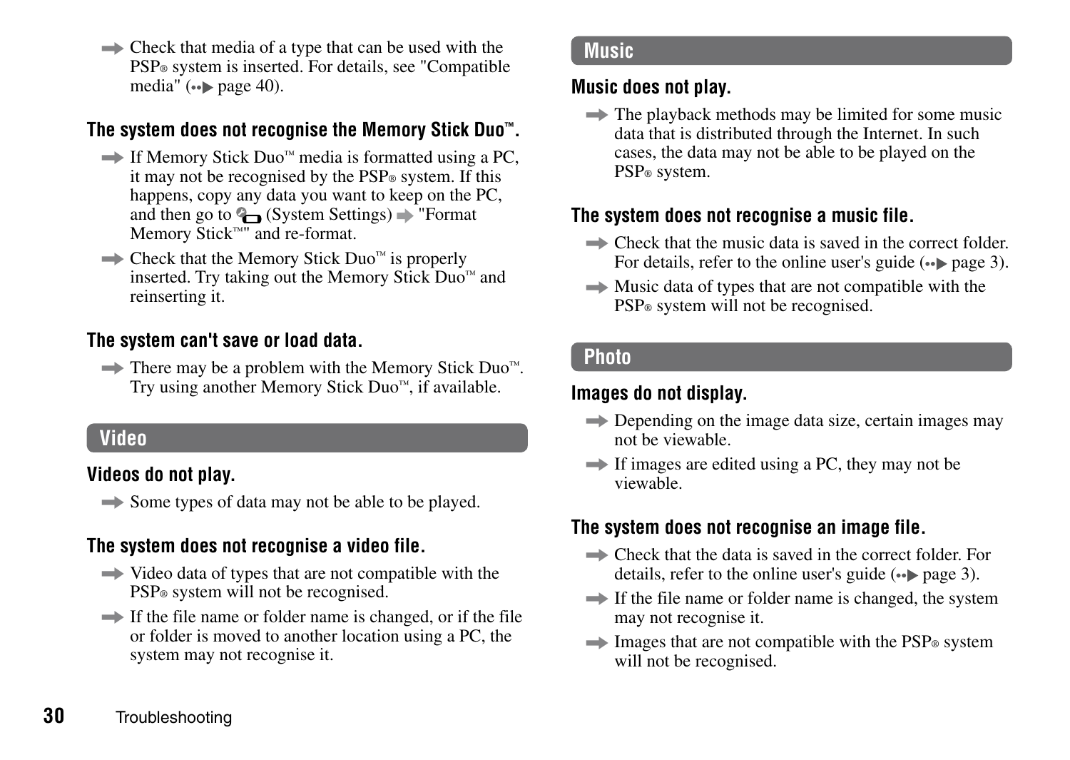$\Rightarrow$  Check that media of a type that can be used with the PSP® system is inserted. For details, see "Compatible media"  $\left( \bullet \bullet \bullet \right)$  page 40).

## **The system does not recognise the Memory Stick Duo™.**

- $\Rightarrow$  If Memory Stick Duo<sup>m</sup> media is formatted using a PC. it may not be recognised by the PSP<sup>®</sup> system. If this happens, copy any data you want to keep on the PC. and then go to  $\mathbb{Q}$  (System Settings)  $\Rightarrow$  "Format Memory Stick™" and re-format.
- $\Rightarrow$  Check that the Memory Stick Duo™ is properly inserted. Try taking out the Memory Stick Duo™ and reinserting it.

#### **The system can't save or load data.**

 $\Rightarrow$  There may be a problem with the Memory Stick Duo™. Try using another Memory Stick Duo™, if available.

#### **Video**

## **Videos do not play.**

 $\Rightarrow$  Some types of data may not be able to be played.

## **The system does not recognise a video file.**

- $\rightarrow$  Video data of types that are not compatible with the PSP® system will not be recognised.
- $\rightarrow$  If the file name or folder name is changed, or if the file or folder is moved to another location using a PC, the system may not recognise it.

#### **Music**

#### **Music does not play.**

 $\Rightarrow$  The playback methods may be limited for some music data that is distributed through the Internet. In such cases, the data may not be able to be played on the PSP® system.

## **The system does not recognise a music file.**

- $\Rightarrow$  Check that the music data is saved in the correct folder. For details, refer to the online user's guide  $(\cdot \cdot)$  page 3).
- $\rightarrow$  Music data of types that are not compatible with the PSP® system will not be recognised.

## **Photo**

#### **Images do not display.**

- $\implies$  Depending on the image data size, certain images may not be viewable.
- $\rightarrow$  If images are edited using a PC, they may not be viewable.

## **The system does not recognise an image file.**

- $\implies$  Check that the data is saved in the correct folder. For details, refer to the online user's guide  $(\cdot \cdot)$  page 3).
- $\rightarrow$  If the file name or folder name is changed, the system may not recognise it.
- $\rightarrow$  Images that are not compatible with the PSP<sup>®</sup> system will not be recognised.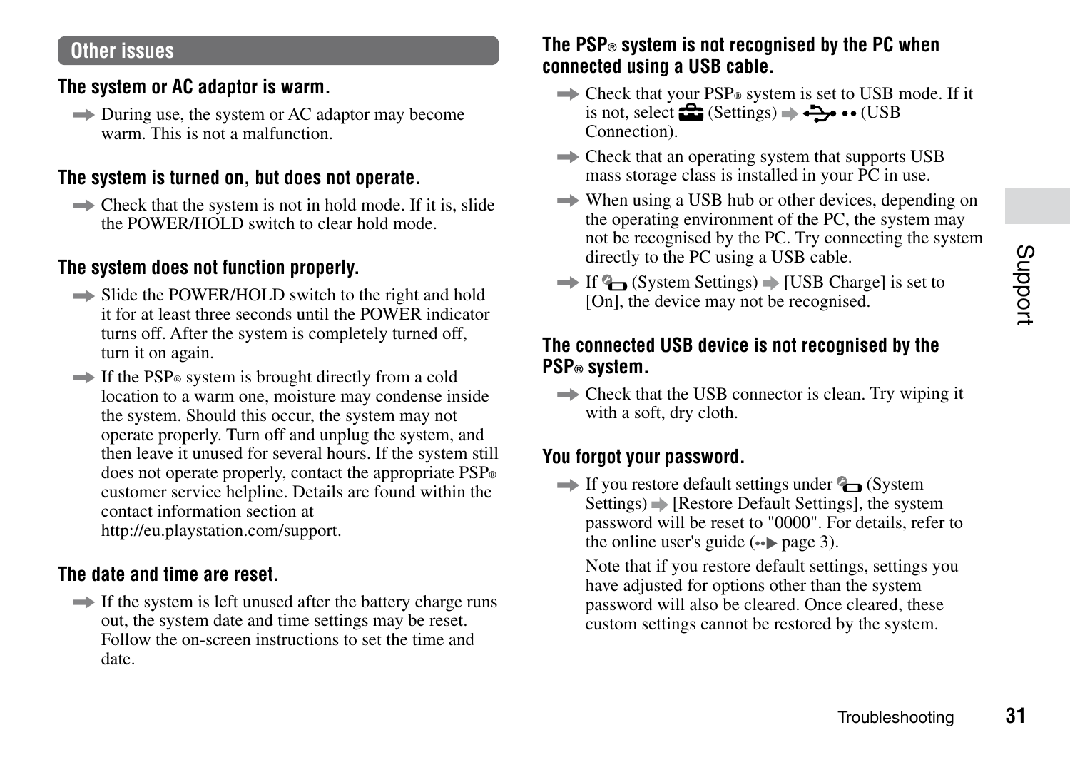#### **Other issues**

#### **The system or AC adaptor is warm.**

 $\Rightarrow$  During use, the system or AC adaptor may become warm. This is not a malfunction.

#### **The system is turned on, but does not operate.**

 $\Rightarrow$  Check that the system is not in hold mode. If it is, slide the POWER/HOLD switch to clear hold mode.

#### **The system does not function properly.**

- $\Rightarrow$  Slide the POWER/HOLD switch to the right and hold it for at least three seconds until the POWER indicator turns off. After the system is completely turned off, turn it on again.
- $\rightarrow$  If the PSP<sup>®</sup> system is brought directly from a cold location to a warm one, moisture may condense inside the system. Should this occur, the system may not operate properly. Turn off and unplug the system, and then leave it unused for several hours. If the system still does not operate properly, contact the appropriate PSP® customer service helpline. Details are found within the contact information section at http://eu.playstation.com/support.

#### **The date and time are reset.**

 $\Rightarrow$  If the system is left unused after the battery charge runs out, the system date and time settings may be reset. Follow the on-screen instructions to set the time and date.

## **The PSP® system is not recognised by the PC when connected using a USB cable.**

- $\Rightarrow$  Check that your PSP<sup>®</sup> system is set to USB mode. If it is not, select  $\triangleq$  (Settings)  $\Rightarrow \leftrightarrow \bullet \bullet$  (USB) Connection).
- $\Rightarrow$  Check that an operating system that supports USB mass storage class is installed in your PC in use.
- $\Rightarrow$  When using a USB hub or other devices, depending on the operating environment of the PC, the system may not be recognised by the PC. Try connecting the system directly to the PC using a USB cable.
- $\Rightarrow$  If  $\mathbb{G}$  (System Settings)  $\Rightarrow$  IUSB Charge] is set to  $[On]$  the device may not be recognised.

#### **The connected USB device is not recognised by the PSP® system.**

 $\Rightarrow$  Check that the USB connector is clean. Try wiping it with a soft, dry cloth.

#### **You forgot your password.**

 $\rightarrow$  If you restore default settings under  $\rightarrow$  (System)  $Settings) \rightarrow [Restore Default Settings]$ , the system password will be reset to "0000". For details, refer to the online user's guide  $(\cdot \cdot)$  page 3).

Note that if you restore default settings, settings you have adjusted for options other than the system password will also be cleared. Once cleared, these custom settings cannot be restored by the system.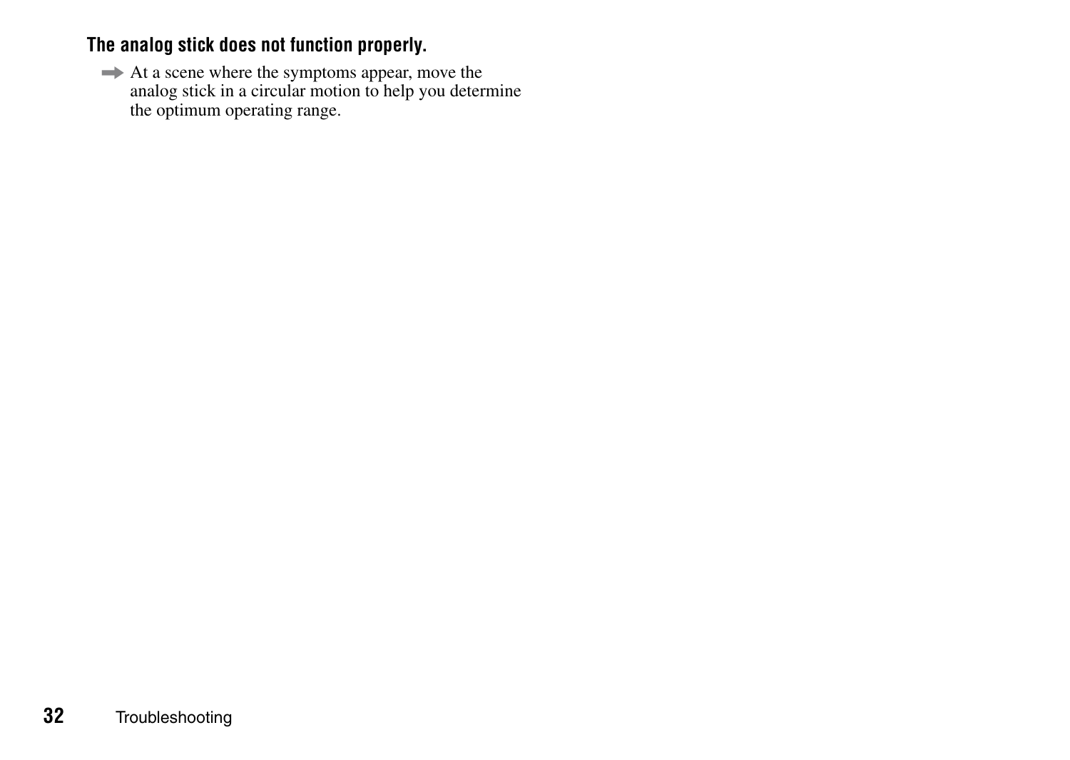# **The analog stick does not function properly.**

 $\Rightarrow$  At a scene where the symptoms appear, move the analog stick in a circular motion to help you determine the optimum operating range.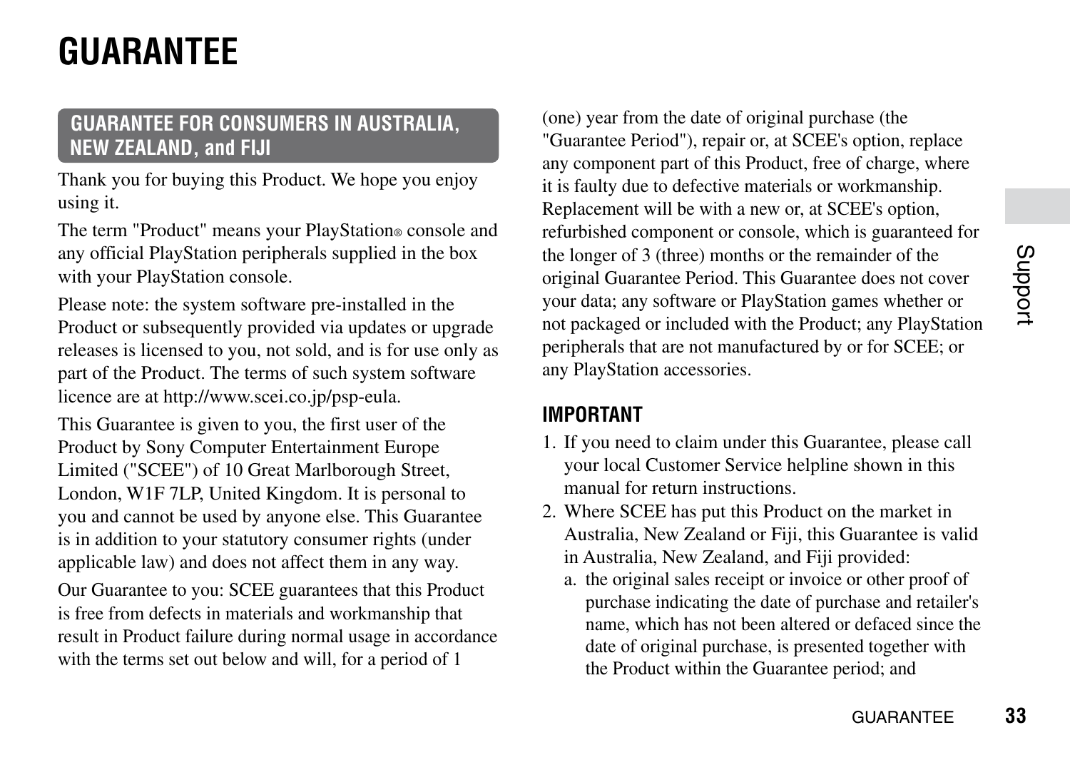# <span id="page-32-0"></span>**GUARANTEE**

# **GUARANTEE FOR CONSUMERS IN AUSTRALIA, NEW ZEALAND, and FIJI**

Thank you for buying this Product. We hope you enjoy using it.

The term "Product" means your PlayStation® console and any official PlayStation peripherals supplied in the box with your PlayStation console.

Please note: the system software pre-installed in the Product or subsequently provided via updates or upgrade releases is licensed to you, not sold, and is for use only as part of the Product. The terms of such system software licence are at http://www.scei.co.jp/psp-eula.

This Guarantee is given to you, the first user of the Product by Sony Computer Entertainment Europe Limited ("SCEE") of 10 Great Marlborough Street, London, W1F 7LP, United Kingdom. It is personal to you and cannot be used by anyone else. This Guarantee is in addition to your statutory consumer rights (under applicable law) and does not affect them in any way.

Our Guarantee to you: SCEE guarantees that this Product is free from defects in materials and workmanship that result in Product failure during normal usage in accordance with the terms set out below and will, for a period of 1

(one) year from the date of original purchase (the "Guarantee Period"), repair or, at SCEE's option, replace any component part of this Product, free of charge, where it is faulty due to defective materials or workmanship. Replacement will be with a new or, at SCEE's option, refurbished component or console, which is guaranteed for the longer of 3 (three) months or the remainder of the original Guarantee Period. This Guarantee does not cover your data; any software or PlayStation games whether or not packaged or included with the Product; any PlayStation peripherals that are not manufactured by or for SCEE; or any PlayStation accessories.

#### **IMPORTANT**

- 1. If you need to claim under this Guarantee, please call your local Customer Service helpline shown in this manual for return instructions.
- 2. Where SCEE has put this Product on the market in Australia, New Zealand or Fiji, this Guarantee is valid in Australia, New Zealand, and Fiji provided:
	- a. the original sales receipt or invoice or other proof of purchase indicating the date of purchase and retailer's name, which has not been altered or defaced since the date of original purchase, is presented together with the Product within the Guarantee period; and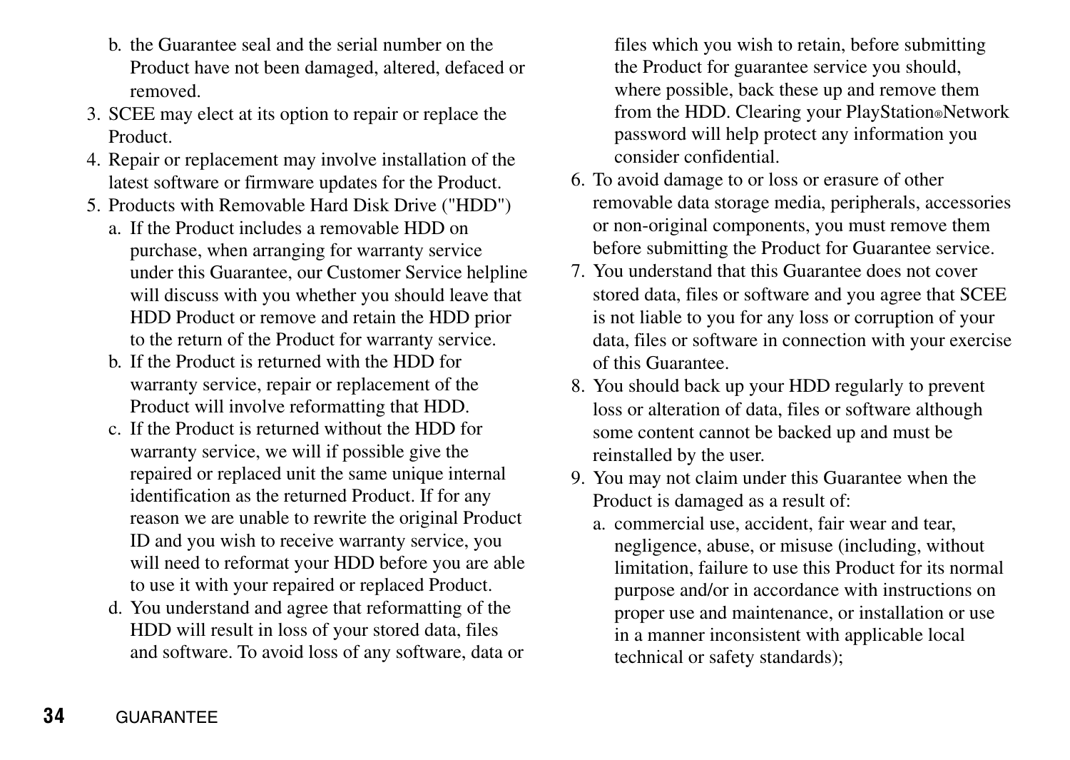- b. the Guarantee seal and the serial number on the Product have not been damaged, altered, defaced or removed.
- 3. SCEE may elect at its option to repair or replace the Product.
- 4. Repair or replacement may involve installation of the latest software or firmware updates for the Product.
- 5. Products with Removable Hard Disk Drive ("HDD")
	- a. If the Product includes a removable HDD on purchase, when arranging for warranty service under this Guarantee, our Customer Service helpline will discuss with you whether you should leave that HDD Product or remove and retain the HDD prior to the return of the Product for warranty service.
	- b. If the Product is returned with the HDD for warranty service, repair or replacement of the Product will involve reformatting that HDD.
	- c. If the Product is returned without the HDD for warranty service, we will if possible give the repaired or replaced unit the same unique internal identification as the returned Product. If for any reason we are unable to rewrite the original Product ID and you wish to receive warranty service, you will need to reformat your HDD before you are able to use it with your repaired or replaced Product.
	- d. You understand and agree that reformatting of the HDD will result in loss of your stored data, files and software. To avoid loss of any software, data or

files which you wish to retain, before submitting the Product for guarantee service you should, where possible, back these up and remove them from the HDD. Clearing your PlayStation®Network password will help protect any information you consider confidential.

- 6. To avoid damage to or loss or erasure of other removable data storage media, peripherals, accessories or non-original components, you must remove them before submitting the Product for Guarantee service.
- 7. You understand that this Guarantee does not cover stored data, files or software and you agree that SCEE is not liable to you for any loss or corruption of your data, files or software in connection with your exercise of this Guarantee.
- 8. You should back up your HDD regularly to prevent loss or alteration of data, files or software although some content cannot be backed up and must be reinstalled by the user.
- 9. You may not claim under this Guarantee when the Product is damaged as a result of:
	- a. commercial use, accident, fair wear and tear, negligence, abuse, or misuse (including, without limitation, failure to use this Product for its normal purpose and/or in accordance with instructions on proper use and maintenance, or installation or use in a manner inconsistent with applicable local technical or safety standards);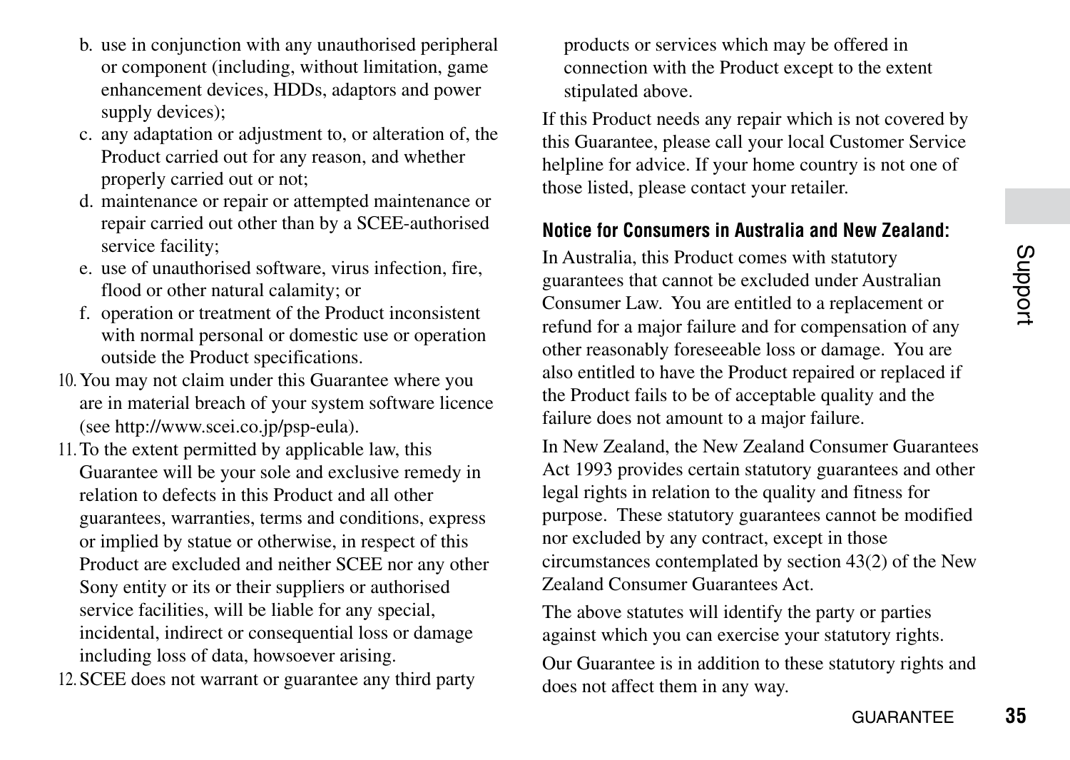- b. use in conjunction with any unauthorised peripheral or component (including, without limitation, game enhancement devices, HDDs, adaptors and power supply devices):
- c. any adaptation or adjustment to, or alteration of, the Product carried out for any reason, and whether properly carried out or not;
- d. maintenance or repair or attempted maintenance or repair carried out other than by a SCEE-authorised service facility;
- e. use of unauthorised software, virus infection, fire flood or other natural calamity; or
- f. operation or treatment of the Product inconsistent with normal personal or domestic use or operation outside the Product specifications.
- 10. You may not claim under this Guarantee where you are in material breach of your system software licence (see http://www.scei.co.jp/psp-eula).
- 11.To the extent permitted by applicable law, this Guarantee will be your sole and exclusive remedy in relation to defects in this Product and all other guarantees, warranties, terms and conditions, express or implied by statue or otherwise, in respect of this Product are excluded and neither SCEE nor any other Sony entity or its or their suppliers or authorised service facilities, will be liable for any special, incidental, indirect or consequential loss or damage including loss of data, howsoever arising.
- 12. SCEE does not warrant or guarantee any third party

products or services which may be offered in connection with the Product except to the extent stipulated above.

If this Product needs any repair which is not covered by this Guarantee, please call your local Customer Service helpline for advice. If your home country is not one of those listed, please contact your retailer.

#### **Notice for Consumers in Australia and New Zealand:**

In Australia, this Product comes with statutory guarantees that cannot be excluded under Australian Consumer Law. You are entitled to a replacement or refund for a major failure and for compensation of any other reasonably foreseeable loss or damage. You are also entitled to have the Product repaired or replaced if the Product fails to be of acceptable quality and the failure does not amount to a major failure.

In New Zealand, the New Zealand Consumer Guarantees Act 1993 provides certain statutory guarantees and other legal rights in relation to the quality and fitness for purpose. These statutory guarantees cannot be modified nor excluded by any contract, except in those circumstances contemplated by section 43(2) of the New Zealand Consumer Guarantees Act.

The above statutes will identify the party or parties against which you can exercise your statutory rights.

Our Guarantee is in addition to these statutory rights and does not affect them in any way.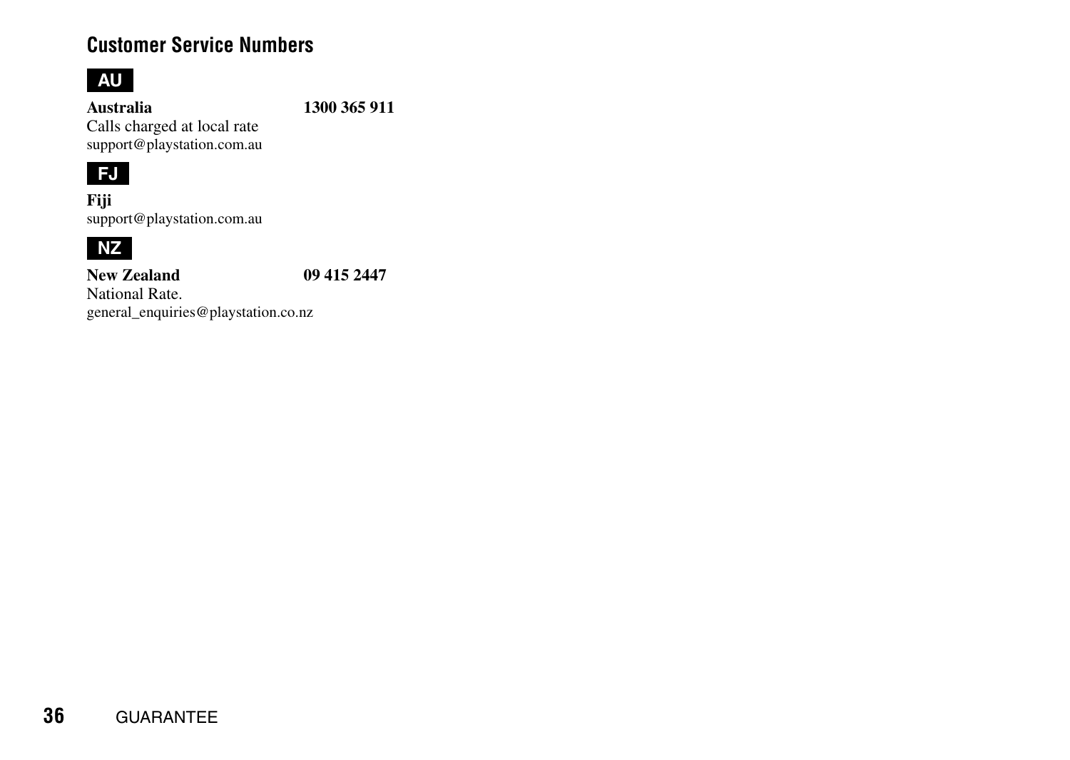# **Customer Service Numbers**

# **AU**

**Australia 1300 365 911**

Calls charged at local rate support@playstation.com.au

# **FJ**

**Fiji** support@playstation.com.au



**New Zealand 09 415 2447** National Rate. general\_enquiries@playstation.co.nz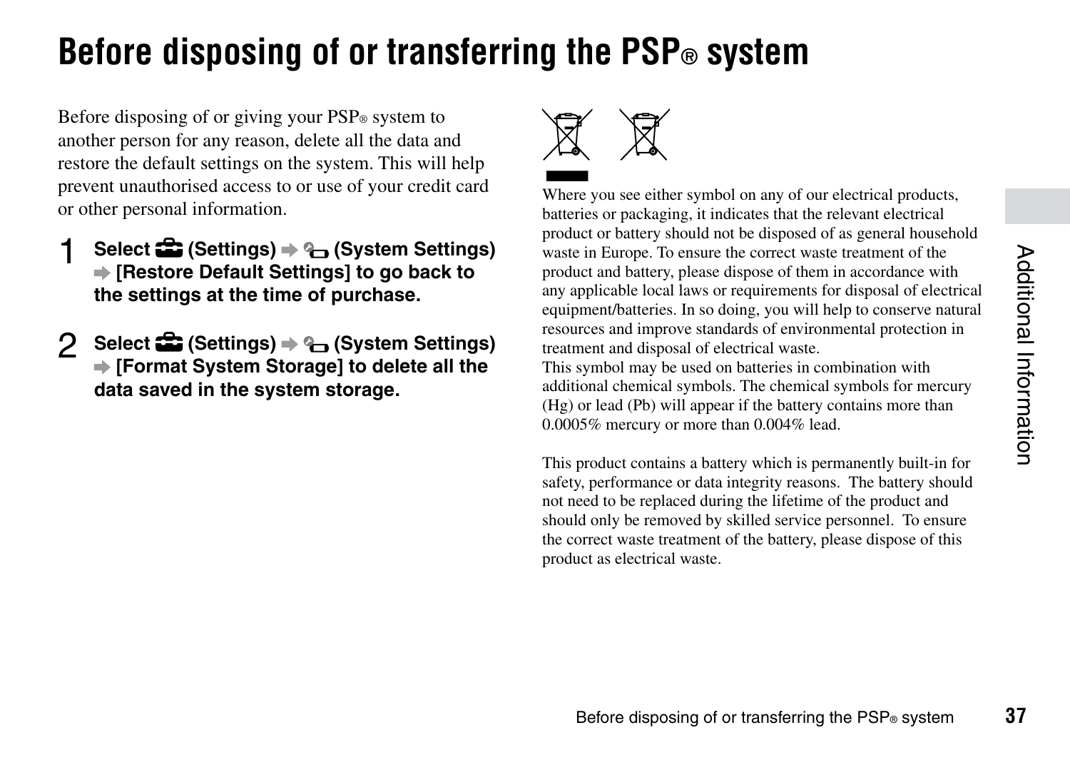# <span id="page-36-0"></span>**Before disposing of or transferring the PSP® system**

Before disposing of or giving your PSP<sup>®</sup> system to another person for any reason, delete all the data and restore the default settings on the system. This will help prevent unauthorised access to or use of your credit card or other personal information.

- 1 **Select (Settings) (System Settings) [Restore Default Settings] to go back to the settings at the time of purchase.**
- 2 **Select (Settings) (System Settings) [Format System Storage] to delete all the data saved in the system storage.**



Where you see either symbol on any of our electrical products, batteries or packaging, it indicates that the relevant electrical product or battery should not be disposed of as general household waste in Europe. To ensure the correct waste treatment of the product and battery, please dispose of them in accordance with any applicable local laws or requirements for disposal of electrical equipment/batteries. In so doing, you will help to conserve natural resources and improve standards of environmental protection in treatment and disposal of electrical waste.

This symbol may be used on batteries in combination with additional chemical symbols. The chemical symbols for mercury (Hg) or lead (Pb) will appear if the battery contains more than 0.0005% mercury or more than 0.004% lead.

This product contains a battery which is permanently built-in for safety, performance or data integrity reasons. The battery should not need to be replaced during the lifetime of the product and should only be removed by skilled service personnel. To ensure the correct waste treatment of the battery, please dispose of this product as electrical waste.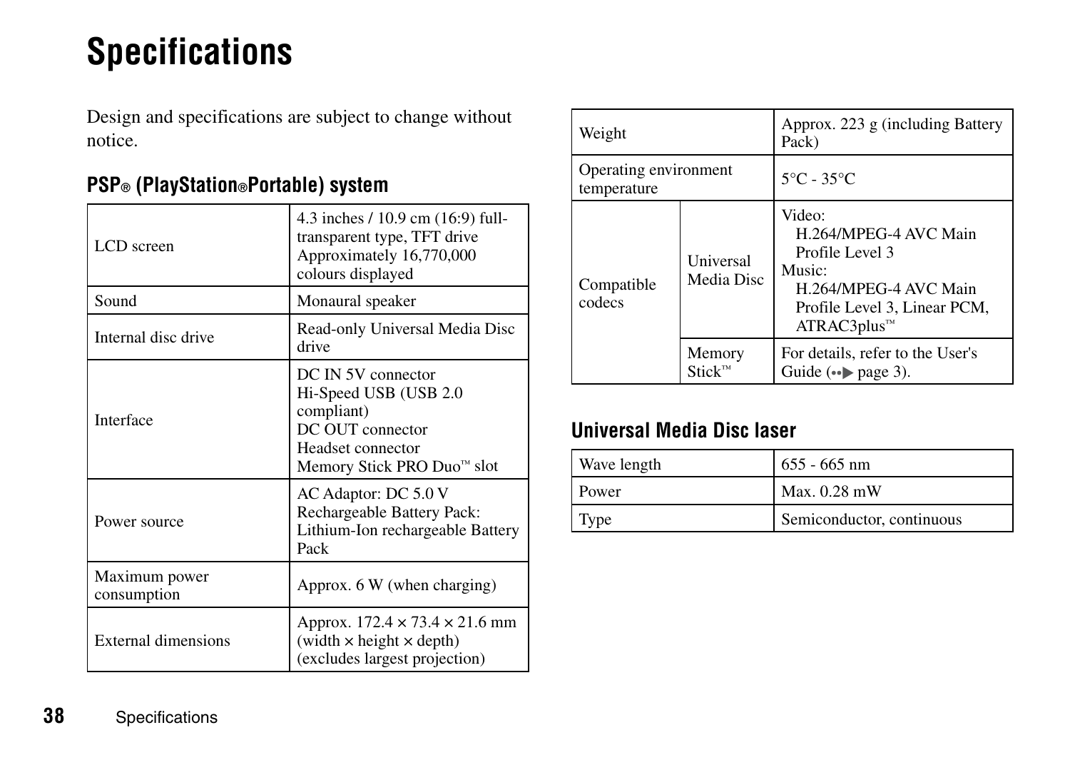# <span id="page-37-0"></span>**Specifications**

Design and specifications are subject to change without notice.

| LCD screen                   | 4.3 inches / 10.9 cm (16:9) full-<br>transparent type, TFT drive<br>Approximately 16,770,000<br>colours displayed                            |
|------------------------------|----------------------------------------------------------------------------------------------------------------------------------------------|
| Sound                        | Monaural speaker                                                                                                                             |
| Internal disc drive          | Read-only Universal Media Disc<br>drive                                                                                                      |
| Interface                    | DC IN 5V connector<br>Hi-Speed USB (USB 2.0<br>compliant)<br>DC OUT connector<br>Headset connector<br>Memory Stick PRO Duo <sup>™</sup> slot |
| Power source                 | AC Adaptor: DC 5.0 V<br>Rechargeable Battery Pack:<br>Lithium-Ion rechargeable Battery<br>Pack                                               |
| Maximum power<br>consumption | Approx. 6 W (when charging)                                                                                                                  |
| External dimensions          | Approx. $172.4 \times 73.4 \times 21.6$ mm<br>(width $\times$ height $\times$ depth)<br>(excludes largest projection)                        |

# **PSP® (PlayStation®Portable) system**

| Weight                                                   |            | Approx. 223 g (including Battery<br>Pack)                                                                                                          |
|----------------------------------------------------------|------------|----------------------------------------------------------------------------------------------------------------------------------------------------|
| Operating environment<br>temperature                     |            | $5^{\circ}$ C - 35 $^{\circ}$ C                                                                                                                    |
| Universal<br>Compatible<br>codecs<br>Memory<br>$Stick^m$ | Media Disc | Video:<br>H.264/MPEG-4 AVC Main<br>Profile Level 3<br>Music:<br>H.264/MPEG-4 AVC Main<br>Profile Level 3, Linear PCM,<br>ATRAC3 plus <sup>7M</sup> |
|                                                          |            | For details, refer to the User's<br>Guide $(\bullet \bullet)$ page 3).                                                                             |

# **Universal Media Disc laser**

| Wave length  | $655 - 665$ nm            |
|--------------|---------------------------|
| <b>Power</b> | Max. 0.28 mW              |
| Type         | Semiconductor, continuous |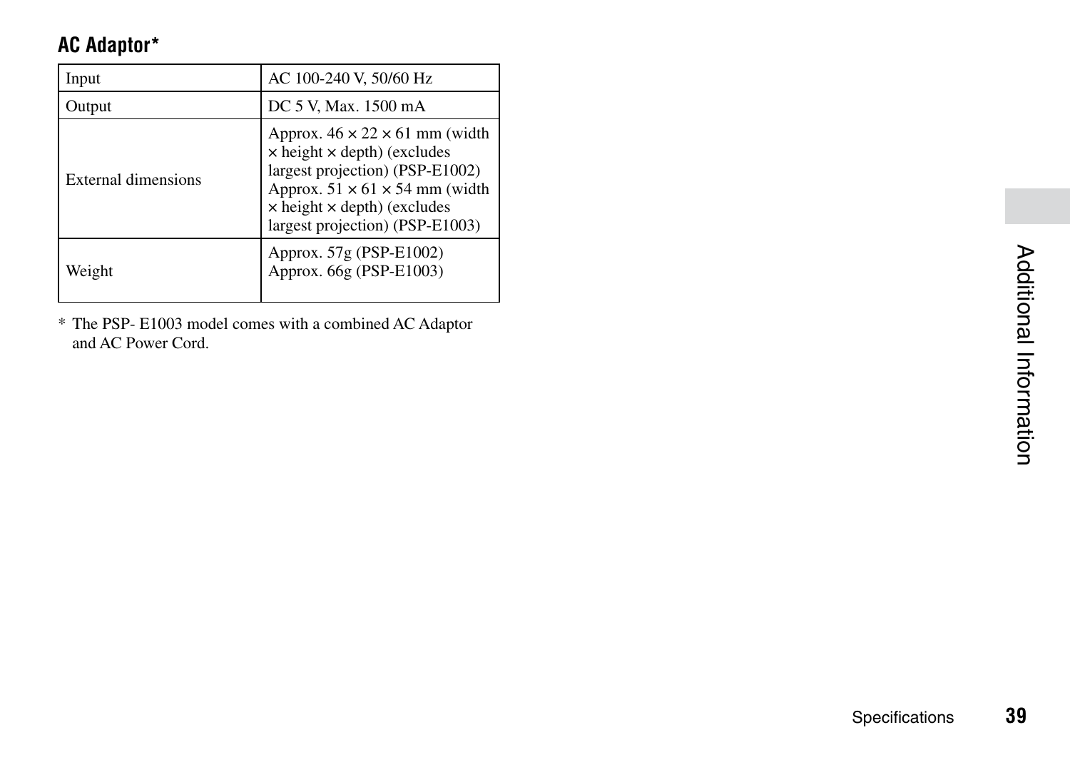# **AC Adaptor\***

| Input                      | AC 100-240 V, 50/60 Hz                                                                                                                                                                                                                                   |
|----------------------------|----------------------------------------------------------------------------------------------------------------------------------------------------------------------------------------------------------------------------------------------------------|
| Output                     | DC 5 V, Max. 1500 mA                                                                                                                                                                                                                                     |
| <b>External dimensions</b> | Approx. $46 \times 22 \times 61$ mm (width<br>$\times$ height $\times$ depth) (excludes<br>largest projection) (PSP-E1002)<br>Approx. $51 \times 61 \times 54$ mm (width<br>$\times$ height $\times$ depth) (excludes<br>largest projection) (PSP-E1003) |
| Weight                     | Approx. 57g (PSP-E1002)<br>Approx. 66g (PSP-E1003)                                                                                                                                                                                                       |

\* The PSP- E1003 model comes with a combined AC Adaptor and AC Power Cord.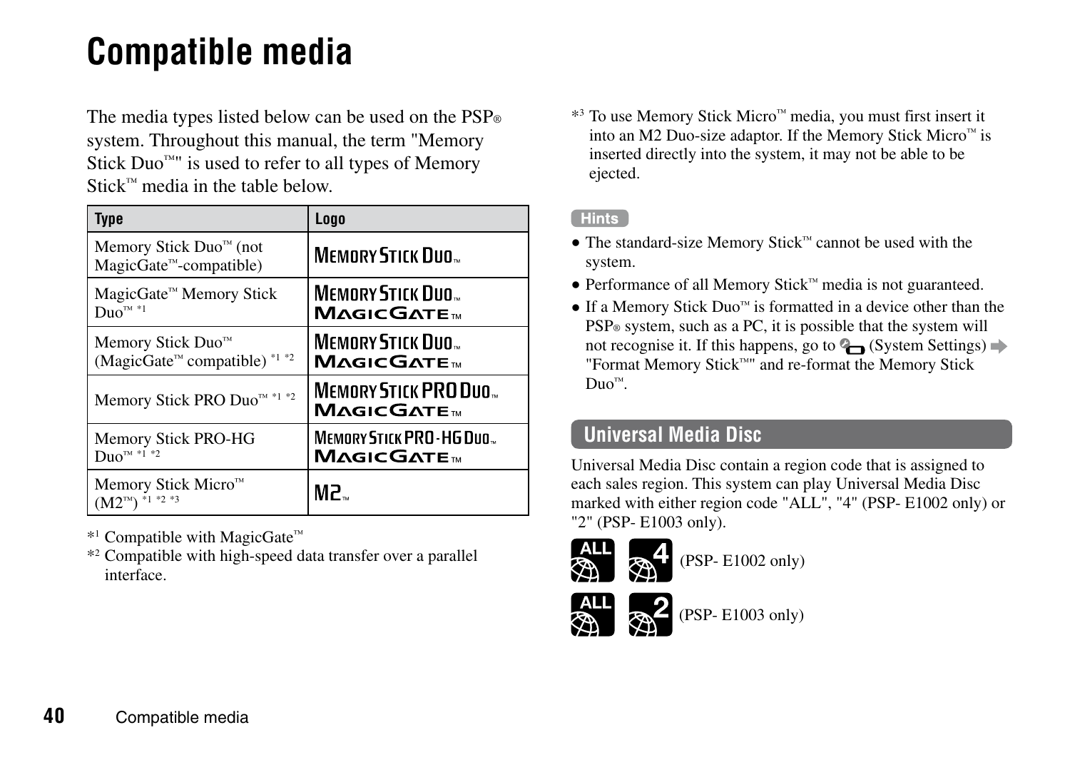# <span id="page-39-0"></span>**Compatible media**

The media types listed below can be used on the  $PSP<sub>®</sub>$ system. Throughout this manual, the term "Memory Stick  $Duo<sup>mu</sup>$  is used to refer to all types of Memory Stick™ media in the table below.

| Type                                                                                  | Logo                                                      |
|---------------------------------------------------------------------------------------|-----------------------------------------------------------|
| Memory Stick Duo <sup>™</sup> (not<br>MagicGate <sup>™</sup> -compatible)             | MEMORY STICK DUO                                          |
| MagicGate™ Memory Stick<br>$Duo^{m*1}$                                                | MEMORY STICK DUO<br><b>MAGICGATE</b>                      |
| Memory Stick Duo <sup>™</sup><br>(MagicGate <sup>™</sup> compatible) <sup>*1 *2</sup> | MEMORY STICK DUO<br><b>MAGICGATE</b>                      |
| Memory Stick PRO Duo <sup>74</sup> *1 *2                                              | MEMORY STICK PRO DUO<br><b>MAGICGATE</b> <sub>W</sub>     |
| Memory Stick PRO-HG<br>$Duo^{m*1*2}$                                                  | MEMORY STICK PRO-HG DUO.<br><b>MAGICGATE</b> <sub>M</sub> |
| Memory Stick Micro <sup>™</sup><br>$(M2^{m})$ *1 *2 *3                                | MP.                                                       |

\*1 Compatible with MagicGate™

\*2 Compatible with high-speed data transfer over a parallel interface.

\*3 To use Memory Stick Micro™ media, you must first insert it into an M2 Duo-size adaptor. If the Memory Stick Micro™ is inserted directly into the system, it may not be able to be ejected.

#### Hints<sup>1</sup>

- The standard-size Memory Stick™ cannot be used with the system.
- Performance of all Memory Stick™ media is not guaranteed.
- If a Memory Stick Duo™ is formatted in a device other than the PSP<sup>®</sup> system, such as a PC, it is possible that the system will not recognise it. If this happens, go to  $\mathbb{Q}$  (System Settings)  $\Rightarrow$ "Format Memory Stick™" and re-format the Memory Stick Duo™.

# **Universal Media Disc**

Universal Media Disc contain a region code that is assigned to each sales region. This system can play Universal Media Disc marked with either region code "ALL", "4" (PSP- E1002 only) or "2" (PSP- E1003 only).



(PSP- E1002 only)



(PSP- E1003 only)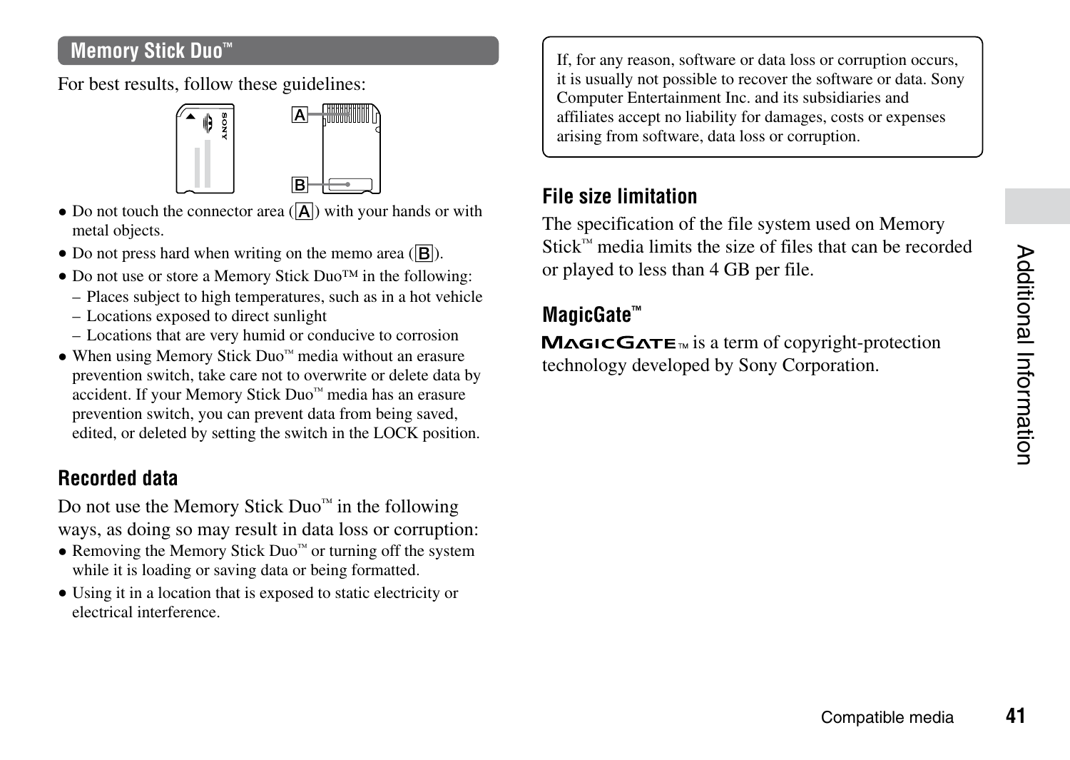# Additional Information **41**Additional Information

# **Memory Stick Duo™**

For best results, follow these guidelines:



- $\bullet$  Do not touch the connector area  $(\sqrt{\mathbf{A}})$  with your hands or with metal objects.
- $\bullet$  Do not press hard when writing on the memo area ( $\overline{|\mathbf{R}|}$ ).
- Do not use or store a Memory Stick Duo™ in the following:
	- Places subject to high temperatures, such as in a hot vehicle
	- Locations exposed to direct sunlight
	- Locations that are very humid or conducive to corrosion
- When using Memory Stick Duo™ media without an erasure prevention switch, take care not to overwrite or delete data by accident. If your Memory Stick Duo™ media has an erasure prevention switch, you can prevent data from being saved, edited, or deleted by setting the switch in the LOCK position.

# **Recorded data**

Do not use the Memory Stick Duo™ in the following ways, as doing so may result in data loss or corruption:

- Removing the Memory Stick Duo™ or turning off the system while it is loading or saving data or being formatted.
- Using it in a location that is exposed to static electricity or electrical interference.

If, for any reason, software or data loss or corruption occurs, it is usually not possible to recover the software or data. Sony Computer Entertainment Inc. and its subsidiaries and affiliates accept no liability for damages, costs or expenses arising from software, data loss or corruption.

# **File size limitation**

The specification of the file system used on Memory Stick™ media limits the size of files that can be recorded or played to less than 4 GB per file.

# **MagicGate™**

 $MAGICGATE<sub>w</sub>$  is a term of convright-protection technology developed by Sony Corporation.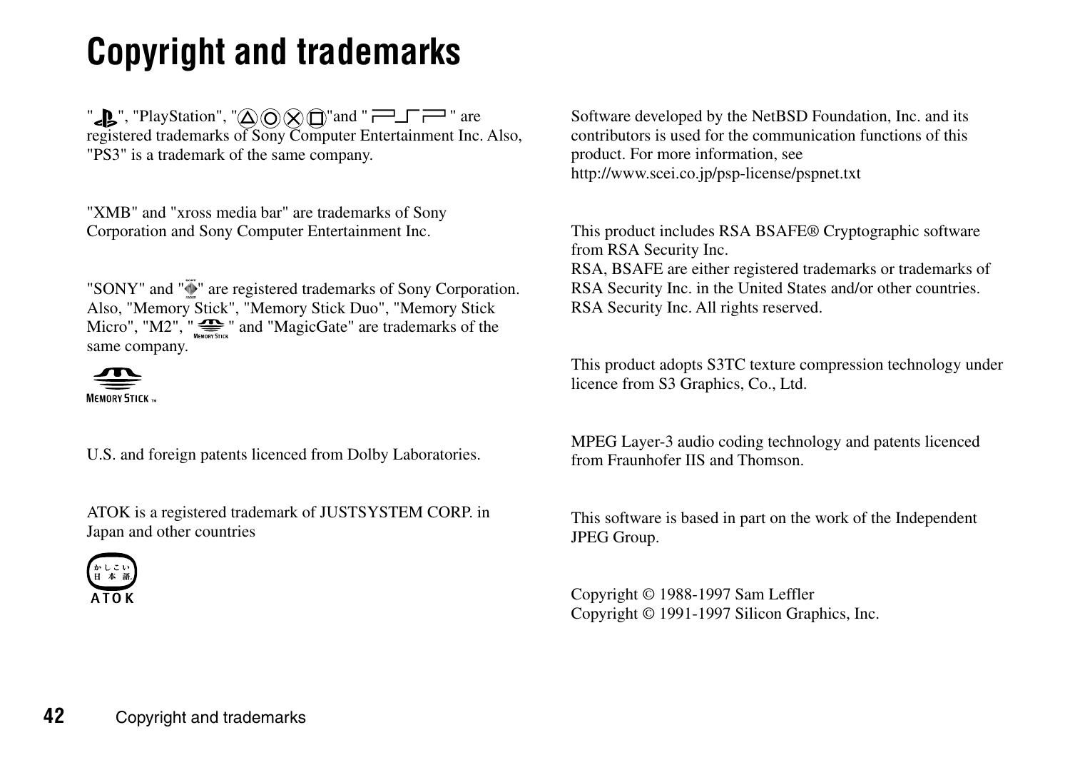# <span id="page-41-0"></span>**Copyright and trademarks**

" $\mathbb{R}$ ", "PlayStation", " $\widehat{\triangle}$   $\widehat{\triangle}$   $\widehat{\triangle}$   $\widehat{\square}$ " and " $\widehat{\mathbb{R}^{-1}}$ " are registered trademarks of Sony Computer Entertainment Inc. Also, "PS3" is a trademark of the same company.

"XMB" and "xross media bar" are trademarks of Sony Corporation and Sony Computer Entertainment Inc.

"SONY" and " $\overline{\Phi}$ " are registered trademarks of Sony Corporation. Also, "Memory Stick", "Memory Stick Duo", "Memory Stick Micro", " $M2$ ", " $\sum_{\text{w}}$ " and "MagicGate" are trademarks of the same company.



U.S. and foreign patents licenced from Dolby Laboratories.

ATOK is a registered trademark of JUSTSYSTEM CORP. in Japan and other countries



Software developed by the NetBSD Foundation. Inc. and its contributors is used for the communication functions of this product. For more information, see http://www.scei.co.jp/psp-license/pspnet.txt

This product includes RSA BSAFE® Cryptographic software from RSA Security Inc.

RSA, BSAFE are either registered trademarks or trademarks of RSA Security Inc. in the United States and/or other countries. RSA Security Inc. All rights reserved.

This product adopts S3TC texture compression technology under licence from S3 Graphics, Co., Ltd.

MPEG Layer-3 audio coding technology and patents licenced from Fraunhofer IIS and Thomson.

This software is based in part on the work of the Independent JPEG Group.

Copyright © 1988-1997 Sam Leffler Copyright © 1991-1997 Silicon Graphics, Inc.